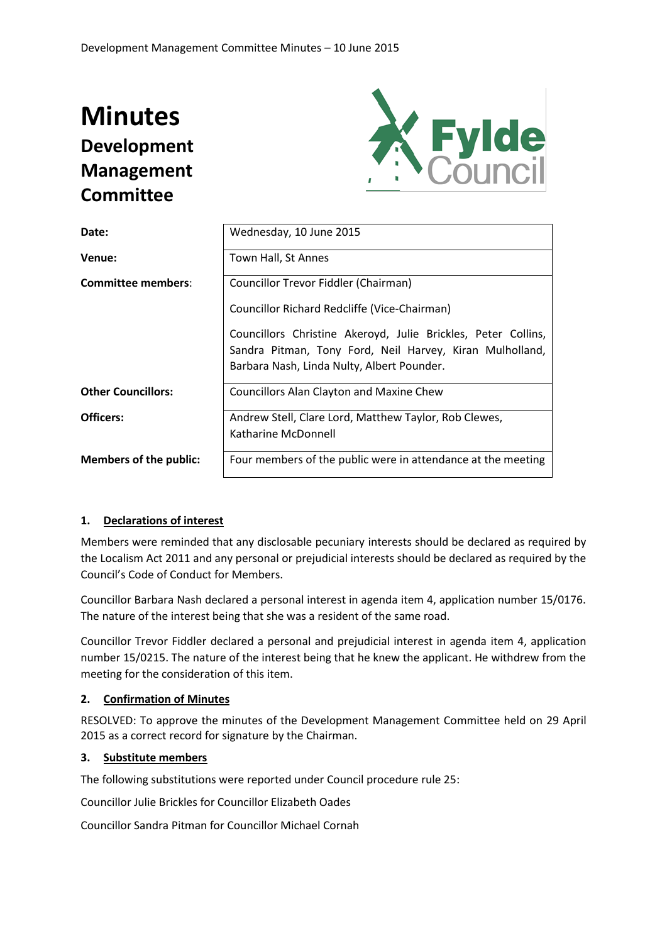# **Minutes Development Management Committee**



| Date:                         | Wednesday, 10 June 2015                                                                                                   |
|-------------------------------|---------------------------------------------------------------------------------------------------------------------------|
| Venue:                        | Town Hall, St Annes                                                                                                       |
| <b>Committee members:</b>     | Councillor Trevor Fiddler (Chairman)                                                                                      |
|                               | Councillor Richard Redcliffe (Vice-Chairman)                                                                              |
|                               | Councillors Christine Akeroyd, Julie Brickles, Peter Collins,<br>Sandra Pitman, Tony Ford, Neil Harvey, Kiran Mulholland, |
|                               | Barbara Nash, Linda Nulty, Albert Pounder.                                                                                |
| <b>Other Councillors:</b>     | <b>Councillors Alan Clayton and Maxine Chew</b>                                                                           |
| Officers:                     | Andrew Stell, Clare Lord, Matthew Taylor, Rob Clewes,                                                                     |
|                               | Katharine McDonnell                                                                                                       |
| <b>Members of the public:</b> | Four members of the public were in attendance at the meeting                                                              |

# **1. Declarations of interest**

Members were reminded that any disclosable pecuniary interests should be declared as required by the Localism Act 2011 and any personal or prejudicial interests should be declared as required by the Council's Code of Conduct for Members.

Councillor Barbara Nash declared a personal interest in agenda item 4, application number 15/0176. The nature of the interest being that she was a resident of the same road.

Councillor Trevor Fiddler declared a personal and prejudicial interest in agenda item 4, application number 15/0215. The nature of the interest being that he knew the applicant. He withdrew from the meeting for the consideration of this item.

# **2. Confirmation of Minutes**

RESOLVED: To approve the minutes of the Development Management Committee held on 29 April 2015 as a correct record for signature by the Chairman.

# **3. Substitute members**

The following substitutions were reported under Council procedure rule 25:

Councillor Julie Brickles for Councillor Elizabeth Oades

Councillor Sandra Pitman for Councillor Michael Cornah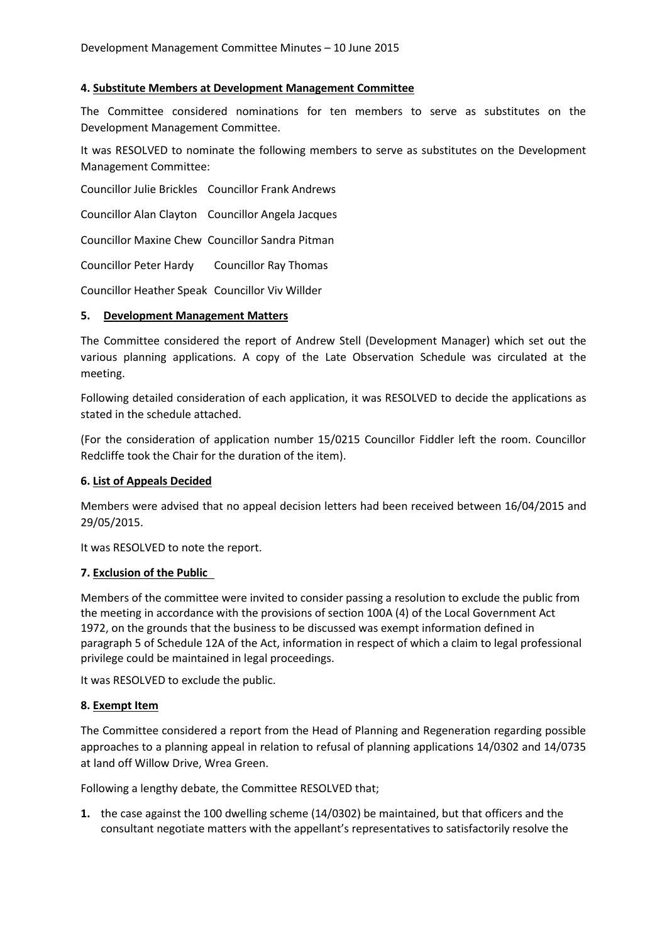# **4. Substitute Members at Development Management Committee**

The Committee considered nominations for ten members to serve as substitutes on the Development Management Committee.

It was RESOLVED to nominate the following members to serve as substitutes on the Development Management Committee:

Councillor Julie Brickles Councillor Frank Andrews

Councillor Alan Clayton Councillor Angela Jacques

Councillor Maxine Chew Councillor Sandra Pitman

Councillor Peter Hardy Councillor Ray Thomas

Councillor Heather Speak Councillor Viv Willder

# **5. Development Management Matters**

The Committee considered the report of Andrew Stell (Development Manager) which set out the various planning applications. A copy of the Late Observation Schedule was circulated at the meeting.

Following detailed consideration of each application, it was RESOLVED to decide the applications as stated in the schedule attached.

(For the consideration of application number 15/0215 Councillor Fiddler left the room. Councillor Redcliffe took the Chair for the duration of the item).

# **6. List of Appeals Decided**

Members were advised that no appeal decision letters had been received between 16/04/2015 and 29/05/2015.

It was RESOLVED to note the report.

# **7. Exclusion of the Public**

Members of the committee were invited to consider passing a resolution to exclude the public from the meeting in accordance with the provisions of section 100A (4) of the Local Government Act 1972, on the grounds that the business to be discussed was exempt information defined in paragraph 5 of Schedule 12A of the Act, information in respect of which a claim to legal professional privilege could be maintained in legal proceedings.

It was RESOLVED to exclude the public.

# **8. Exempt Item**

The Committee considered a report from the Head of Planning and Regeneration regarding possible approaches to a planning appeal in relation to refusal of planning applications 14/0302 and 14/0735 at land off Willow Drive, Wrea Green.

Following a lengthy debate, the Committee RESOLVED that;

**1.** the case against the 100 dwelling scheme (14/0302) be maintained, but that officers and the consultant negotiate matters with the appellant's representatives to satisfactorily resolve the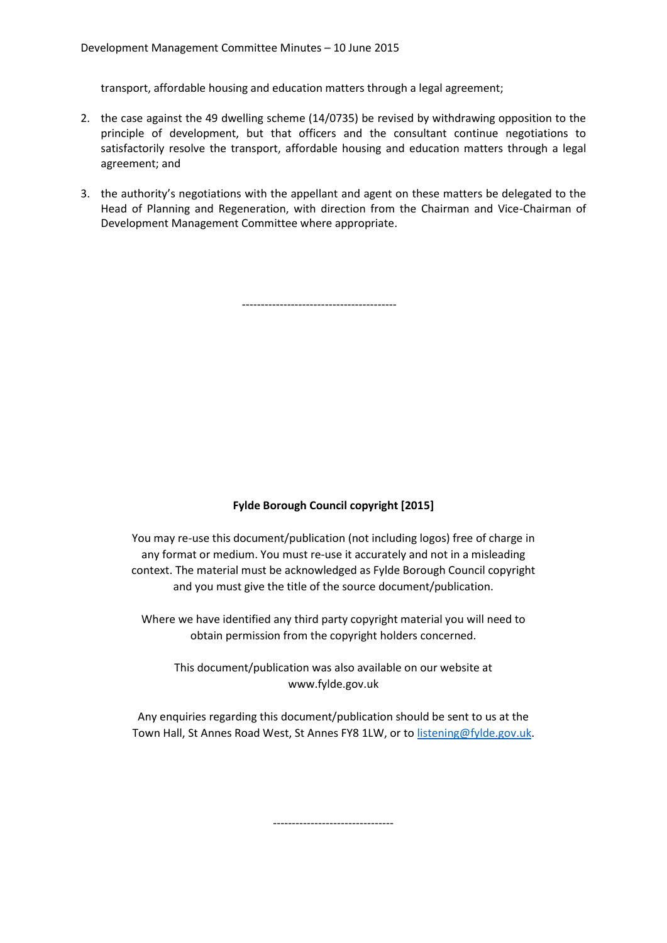transport, affordable housing and education matters through a legal agreement;

- 2. the case against the 49 dwelling scheme (14/0735) be revised by withdrawing opposition to the principle of development, but that officers and the consultant continue negotiations to satisfactorily resolve the transport, affordable housing and education matters through a legal agreement; and
- 3. the authority's negotiations with the appellant and agent on these matters be delegated to the Head of Planning and Regeneration, with direction from the Chairman and Vice-Chairman of Development Management Committee where appropriate.

-----------------------------------------

# **Fylde Borough Council copyright [2015]**

You may re-use this document/publication (not including logos) free of charge in any format or medium. You must re-use it accurately and not in a misleading context. The material must be acknowledged as Fylde Borough Council copyright and you must give the title of the source document/publication.

Where we have identified any third party copyright material you will need to obtain permission from the copyright holders concerned.

This document/publication was also available on our website at www.fylde.gov.uk

Any enquiries regarding this document/publication should be sent to us at the Town Hall, St Annes Road West, St Annes FY8 1LW, or to [listening@fylde.gov.uk.](mailto:listening@fylde.gov.uk)

--------------------------------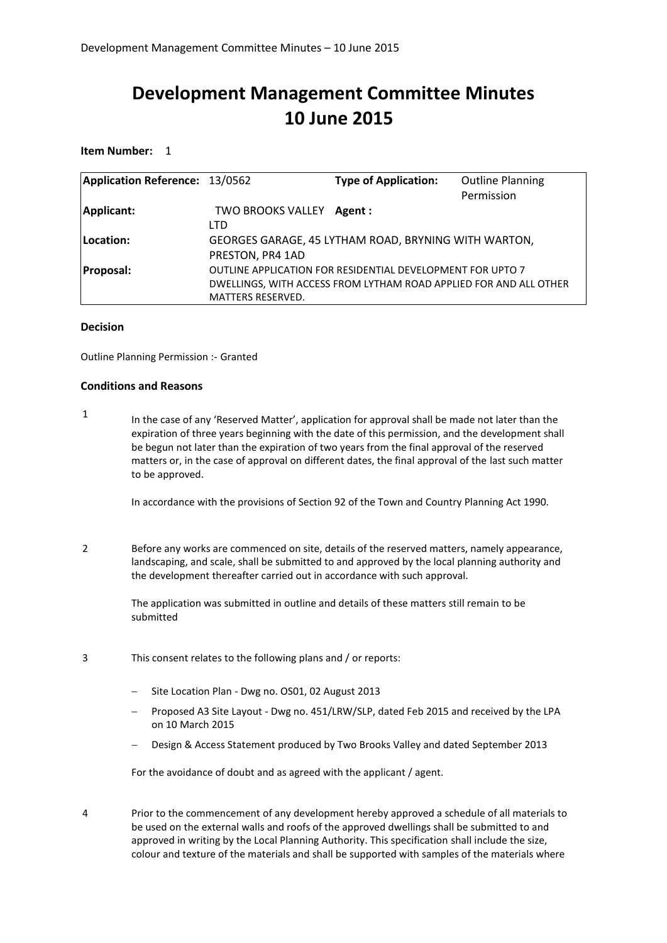# **Development Management Committee Minutes 10 June 2015**

**Item Number:** 1

| Application Reference: 13/0562 |                           | <b>Type of Application:</b>                                       | <b>Outline Planning</b> |
|--------------------------------|---------------------------|-------------------------------------------------------------------|-------------------------|
|                                |                           |                                                                   | Permission              |
| Applicant:                     | TWO BROOKS VALLEY Agent : |                                                                   |                         |
|                                | <b>LTD</b>                |                                                                   |                         |
| Location:                      |                           | GEORGES GARAGE, 45 LYTHAM ROAD, BRYNING WITH WARTON,              |                         |
|                                | PRESTON, PR4 1AD          |                                                                   |                         |
| <b>Proposal:</b>               |                           | OUTLINE APPLICATION FOR RESIDENTIAL DEVELOPMENT FOR UPTO 7        |                         |
|                                |                           | DWELLINGS, WITH ACCESS FROM LYTHAM ROAD APPLIED FOR AND ALL OTHER |                         |
|                                | <b>MATTERS RESERVED.</b>  |                                                                   |                         |

#### **Decision**

Outline Planning Permission :- Granted

#### **Conditions and Reasons**

1 In the case of any 'Reserved Matter', application for approval shall be made not later than the expiration of three years beginning with the date of this permission, and the development shall be begun not later than the expiration of two years from the final approval of the reserved matters or, in the case of approval on different dates, the final approval of the last such matter to be approved.

In accordance with the provisions of Section 92 of the Town and Country Planning Act 1990.

2 Before any works are commenced on site, details of the reserved matters, namely appearance, landscaping, and scale, shall be submitted to and approved by the local planning authority and the development thereafter carried out in accordance with such approval.

> The application was submitted in outline and details of these matters still remain to be submitted

- 3 This consent relates to the following plans and / or reports:
	- Site Location Plan Dwg no. OS01, 02 August 2013
	- Proposed A3 Site Layout Dwg no. 451/LRW/SLP, dated Feb 2015 and received by the LPA on 10 March 2015
	- Design & Access Statement produced by Two Brooks Valley and dated September 2013

For the avoidance of doubt and as agreed with the applicant / agent.

4 Prior to the commencement of any development hereby approved a schedule of all materials to be used on the external walls and roofs of the approved dwellings shall be submitted to and approved in writing by the Local Planning Authority. This specification shall include the size, colour and texture of the materials and shall be supported with samples of the materials where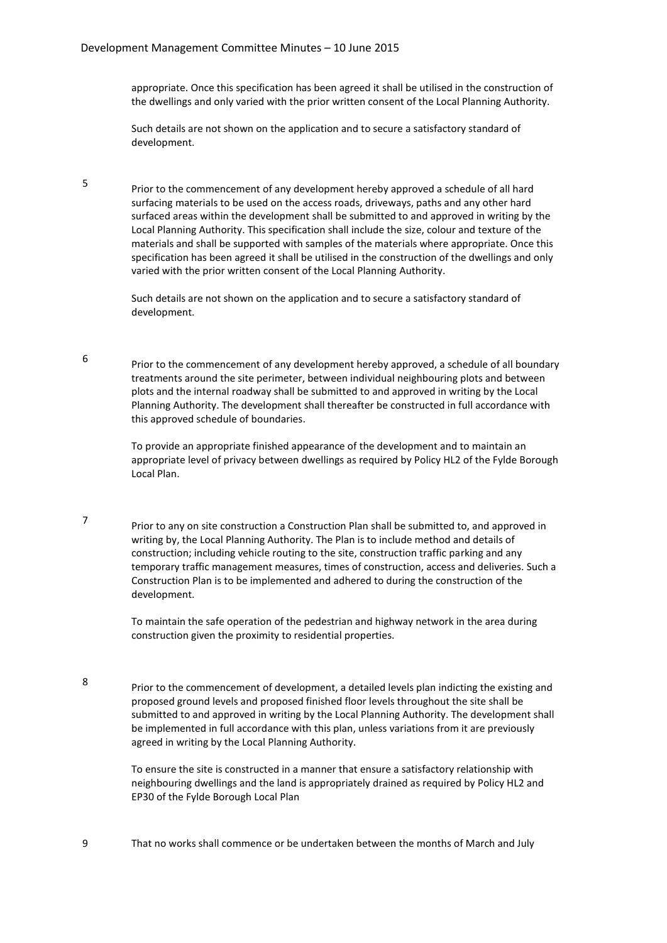5

6

7

8

appropriate. Once this specification has been agreed it shall be utilised in the construction of the dwellings and only varied with the prior written consent of the Local Planning Authority.

Such details are not shown on the application and to secure a satisfactory standard of development.

Prior to the commencement of any development hereby approved a schedule of all hard surfacing materials to be used on the access roads, driveways, paths and any other hard surfaced areas within the development shall be submitted to and approved in writing by the Local Planning Authority. This specification shall include the size, colour and texture of the materials and shall be supported with samples of the materials where appropriate. Once this specification has been agreed it shall be utilised in the construction of the dwellings and only varied with the prior written consent of the Local Planning Authority.

Such details are not shown on the application and to secure a satisfactory standard of development.

Prior to the commencement of any development hereby approved, a schedule of all boundary treatments around the site perimeter, between individual neighbouring plots and between plots and the internal roadway shall be submitted to and approved in writing by the Local Planning Authority. The development shall thereafter be constructed in full accordance with this approved schedule of boundaries.

To provide an appropriate finished appearance of the development and to maintain an appropriate level of privacy between dwellings as required by Policy HL2 of the Fylde Borough Local Plan.

Prior to any on site construction a Construction Plan shall be submitted to, and approved in writing by, the Local Planning Authority. The Plan is to include method and details of construction; including vehicle routing to the site, construction traffic parking and any temporary traffic management measures, times of construction, access and deliveries. Such a Construction Plan is to be implemented and adhered to during the construction of the development.

To maintain the safe operation of the pedestrian and highway network in the area during construction given the proximity to residential properties.

Prior to the commencement of development, a detailed levels plan indicting the existing and proposed ground levels and proposed finished floor levels throughout the site shall be submitted to and approved in writing by the Local Planning Authority. The development shall be implemented in full accordance with this plan, unless variations from it are previously agreed in writing by the Local Planning Authority.

To ensure the site is constructed in a manner that ensure a satisfactory relationship with neighbouring dwellings and the land is appropriately drained as required by Policy HL2 and EP30 of the Fylde Borough Local Plan

9 That no works shall commence or be undertaken between the months of March and July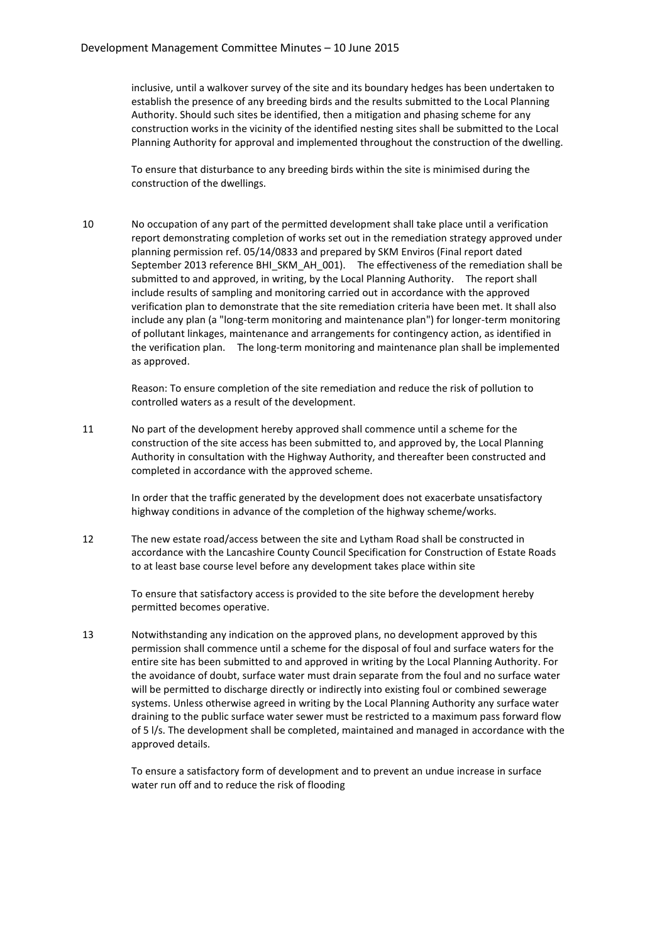inclusive, until a walkover survey of the site and its boundary hedges has been undertaken to establish the presence of any breeding birds and the results submitted to the Local Planning Authority. Should such sites be identified, then a mitigation and phasing scheme for any construction works in the vicinity of the identified nesting sites shall be submitted to the Local Planning Authority for approval and implemented throughout the construction of the dwelling.

To ensure that disturbance to any breeding birds within the site is minimised during the construction of the dwellings.

10 No occupation of any part of the permitted development shall take place until a verification report demonstrating completion of works set out in the remediation strategy approved under planning permission ref. 05/14/0833 and prepared by SKM Enviros (Final report dated September 2013 reference BHI\_SKM\_AH\_001). The effectiveness of the remediation shall be submitted to and approved, in writing, by the Local Planning Authority. The report shall include results of sampling and monitoring carried out in accordance with the approved verification plan to demonstrate that the site remediation criteria have been met. It shall also include any plan (a "long-term monitoring and maintenance plan") for longer-term monitoring of pollutant linkages, maintenance and arrangements for contingency action, as identified in the verification plan. The long-term monitoring and maintenance plan shall be implemented as approved.

> Reason: To ensure completion of the site remediation and reduce the risk of pollution to controlled waters as a result of the development.

11 No part of the development hereby approved shall commence until a scheme for the construction of the site access has been submitted to, and approved by, the Local Planning Authority in consultation with the Highway Authority, and thereafter been constructed and completed in accordance with the approved scheme.

> In order that the traffic generated by the development does not exacerbate unsatisfactory highway conditions in advance of the completion of the highway scheme/works.

12 The new estate road/access between the site and Lytham Road shall be constructed in accordance with the Lancashire County Council Specification for Construction of Estate Roads to at least base course level before any development takes place within site

> To ensure that satisfactory access is provided to the site before the development hereby permitted becomes operative.

13 Notwithstanding any indication on the approved plans, no development approved by this permission shall commence until a scheme for the disposal of foul and surface waters for the entire site has been submitted to and approved in writing by the Local Planning Authority. For the avoidance of doubt, surface water must drain separate from the foul and no surface water will be permitted to discharge directly or indirectly into existing foul or combined sewerage systems. Unless otherwise agreed in writing by the Local Planning Authority any surface water draining to the public surface water sewer must be restricted to a maximum pass forward flow of 5 l/s. The development shall be completed, maintained and managed in accordance with the approved details.

> To ensure a satisfactory form of development and to prevent an undue increase in surface water run off and to reduce the risk of flooding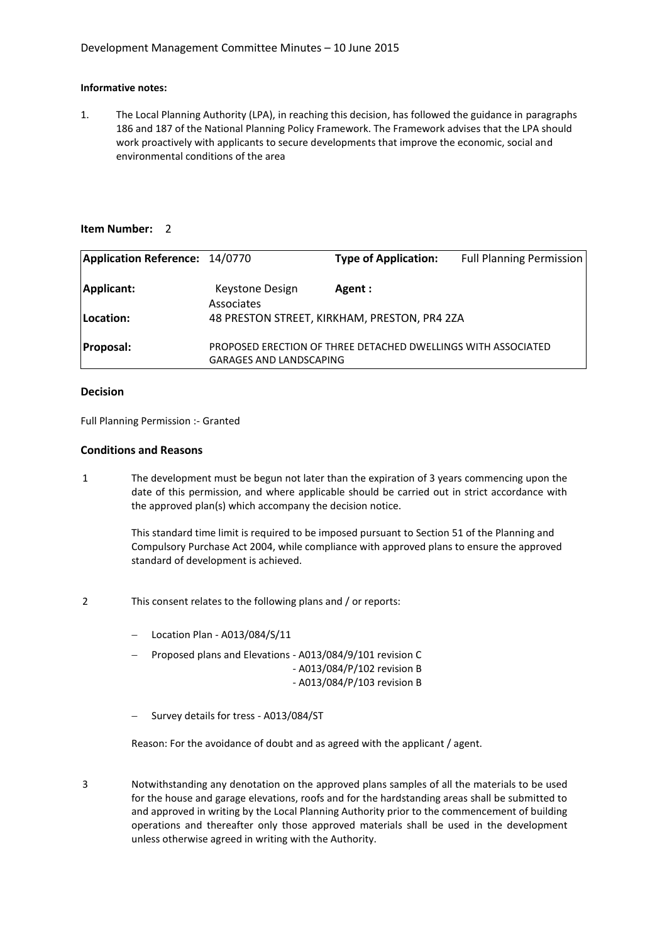#### **Informative notes:**

1. The Local Planning Authority (LPA), in reaching this decision, has followed the guidance in paragraphs 186 and 187 of the National Planning Policy Framework. The Framework advises that the LPA should work proactively with applicants to secure developments that improve the economic, social and environmental conditions of the area

#### **Item Number:** 2

| <b>Application Reference: 14/0770</b> |                                | <b>Type of Application:</b>                                   | <b>Full Planning Permission</b> |
|---------------------------------------|--------------------------------|---------------------------------------------------------------|---------------------------------|
| Applicant:                            | Keystone Design<br>Associates  | Agent:                                                        |                                 |
| Location:                             |                                | 48 PRESTON STREET, KIRKHAM, PRESTON, PR4 2ZA                  |                                 |
| <b>Proposal:</b>                      | <b>GARAGES AND LANDSCAPING</b> | PROPOSED ERECTION OF THREE DETACHED DWELLINGS WITH ASSOCIATED |                                 |

#### **Decision**

Full Planning Permission :- Granted

#### **Conditions and Reasons**

1 The development must be begun not later than the expiration of 3 years commencing upon the date of this permission, and where applicable should be carried out in strict accordance with the approved plan(s) which accompany the decision notice.

> This standard time limit is required to be imposed pursuant to Section 51 of the Planning and Compulsory Purchase Act 2004, while compliance with approved plans to ensure the approved standard of development is achieved.

- 2 This consent relates to the following plans and / or reports:
	- Location Plan A013/084/S/11
	- Proposed plans and Elevations A013/084/9/101 revision C
		- A013/084/P/102 revision B
		- A013/084/P/103 revision B
	- Survey details for tress A013/084/ST

Reason: For the avoidance of doubt and as agreed with the applicant / agent.

3 Notwithstanding any denotation on the approved plans samples of all the materials to be used for the house and garage elevations, roofs and for the hardstanding areas shall be submitted to and approved in writing by the Local Planning Authority prior to the commencement of building operations and thereafter only those approved materials shall be used in the development unless otherwise agreed in writing with the Authority.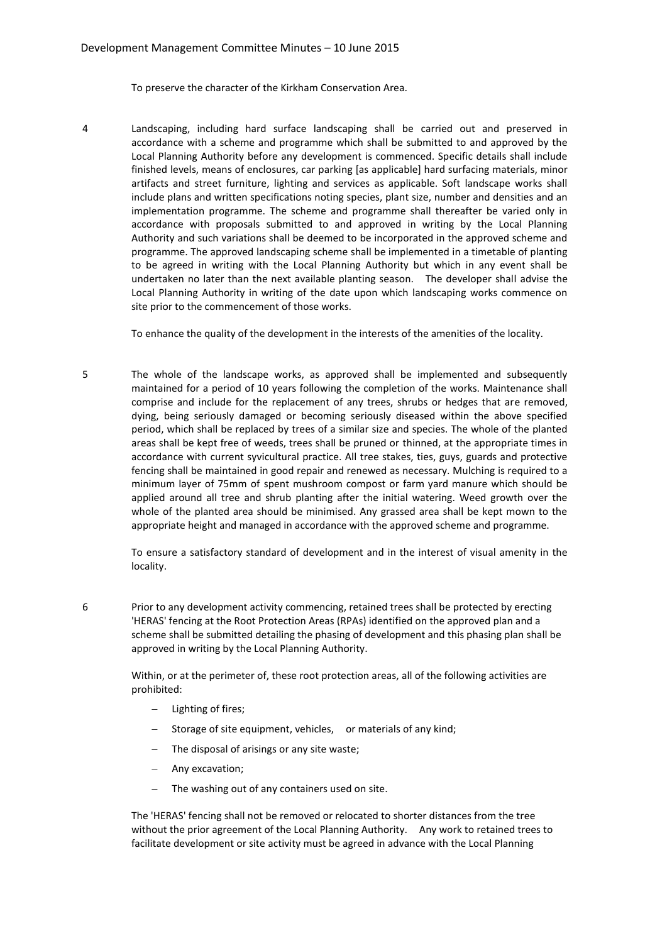To preserve the character of the Kirkham Conservation Area.

4 Landscaping, including hard surface landscaping shall be carried out and preserved in accordance with a scheme and programme which shall be submitted to and approved by the Local Planning Authority before any development is commenced. Specific details shall include finished levels, means of enclosures, car parking [as applicable] hard surfacing materials, minor artifacts and street furniture, lighting and services as applicable. Soft landscape works shall include plans and written specifications noting species, plant size, number and densities and an implementation programme. The scheme and programme shall thereafter be varied only in accordance with proposals submitted to and approved in writing by the Local Planning Authority and such variations shall be deemed to be incorporated in the approved scheme and programme. The approved landscaping scheme shall be implemented in a timetable of planting to be agreed in writing with the Local Planning Authority but which in any event shall be undertaken no later than the next available planting season. The developer shall advise the Local Planning Authority in writing of the date upon which landscaping works commence on site prior to the commencement of those works.

To enhance the quality of the development in the interests of the amenities of the locality.

5 The whole of the landscape works, as approved shall be implemented and subsequently maintained for a period of 10 years following the completion of the works. Maintenance shall comprise and include for the replacement of any trees, shrubs or hedges that are removed, dying, being seriously damaged or becoming seriously diseased within the above specified period, which shall be replaced by trees of a similar size and species. The whole of the planted areas shall be kept free of weeds, trees shall be pruned or thinned, at the appropriate times in accordance with current syvicultural practice. All tree stakes, ties, guys, guards and protective fencing shall be maintained in good repair and renewed as necessary. Mulching is required to a minimum layer of 75mm of spent mushroom compost or farm yard manure which should be applied around all tree and shrub planting after the initial watering. Weed growth over the whole of the planted area should be minimised. Any grassed area shall be kept mown to the appropriate height and managed in accordance with the approved scheme and programme.

> To ensure a satisfactory standard of development and in the interest of visual amenity in the locality.

6 Prior to any development activity commencing, retained trees shall be protected by erecting 'HERAS' fencing at the Root Protection Areas (RPAs) identified on the approved plan and a scheme shall be submitted detailing the phasing of development and this phasing plan shall be approved in writing by the Local Planning Authority.

> Within, or at the perimeter of, these root protection areas, all of the following activities are prohibited:

- Lighting of fires;
- Storage of site equipment, vehicles, or materials of any kind;
- The disposal of arisings or any site waste;
- Any excavation;
- The washing out of any containers used on site.

The 'HERAS' fencing shall not be removed or relocated to shorter distances from the tree without the prior agreement of the Local Planning Authority. Any work to retained trees to facilitate development or site activity must be agreed in advance with the Local Planning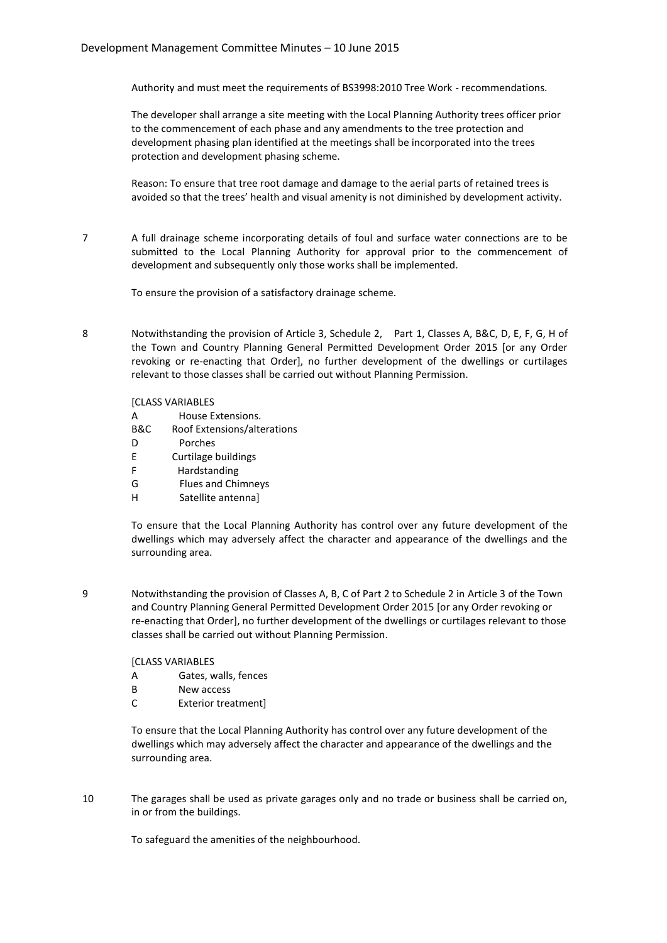Authority and must meet the requirements of BS3998:2010 Tree Work - recommendations.

The developer shall arrange a site meeting with the Local Planning Authority trees officer prior to the commencement of each phase and any amendments to the tree protection and development phasing plan identified at the meetings shall be incorporated into the trees protection and development phasing scheme.

Reason: To ensure that tree root damage and damage to the aerial parts of retained trees is avoided so that the trees' health and visual amenity is not diminished by development activity.

7 A full drainage scheme incorporating details of foul and surface water connections are to be submitted to the Local Planning Authority for approval prior to the commencement of development and subsequently only those works shall be implemented.

To ensure the provision of a satisfactory drainage scheme.

8 Notwithstanding the provision of Article 3, Schedule 2, Part 1, Classes A, B&C, D, E, F, G, H of the Town and Country Planning General Permitted Development Order 2015 [or any Order revoking or re-enacting that Order], no further development of the dwellings or curtilages relevant to those classes shall be carried out without Planning Permission.

#### **[CLASS VARIABLES**

| А   | House Extensions.                       |
|-----|-----------------------------------------|
| B&C | Roof Extensions/alterations             |
| D   | Porches                                 |
| E   | Curtilage buildings                     |
| F   | Hardstanding                            |
| G   | <b>Flues and Chimneys</b>               |
| н   | Satellite antennal                      |
|     |                                         |
|     | To ensure that the Local Planning Autho |

rity has control over any future development of the dwellings which may adversely affect the character and appearance of the dwellings and the surrounding area.

9 Notwithstanding the provision of Classes A, B, C of Part 2 to Schedule 2 in Article 3 of the Town and Country Planning General Permitted Development Order 2015 [or any Order revoking or re-enacting that Order], no further development of the dwellings or curtilages relevant to those classes shall be carried out without Planning Permission.

[CLASS VARIABLES

- A Gates, walls, fences
- B New access
- C Exterior treatment]

To ensure that the Local Planning Authority has control over any future development of the dwellings which may adversely affect the character and appearance of the dwellings and the surrounding area.

10 The garages shall be used as private garages only and no trade or business shall be carried on, in or from the buildings.

To safeguard the amenities of the neighbourhood.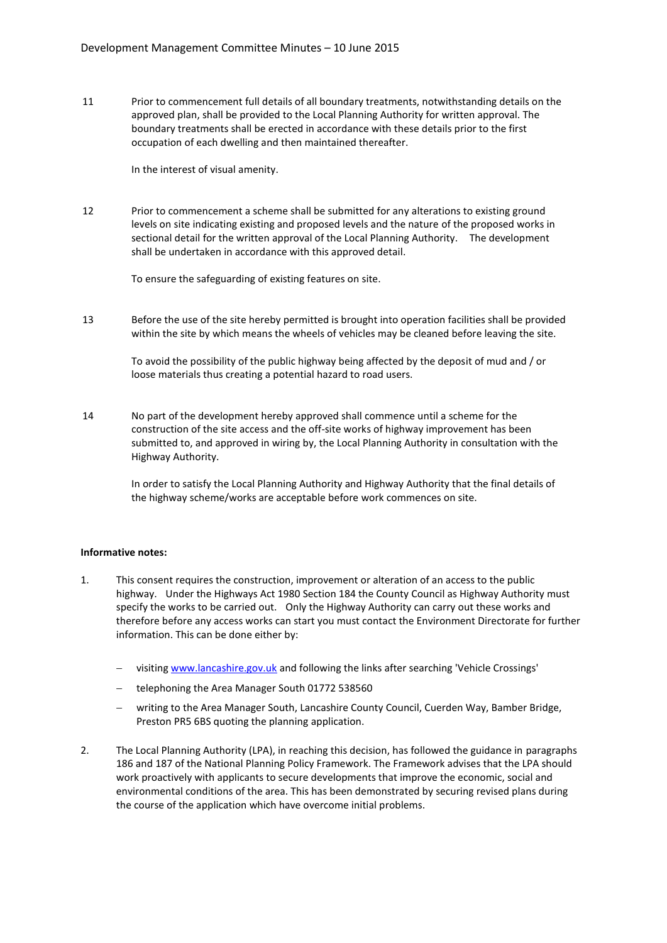11 Prior to commencement full details of all boundary treatments, notwithstanding details on the approved plan, shall be provided to the Local Planning Authority for written approval. The boundary treatments shall be erected in accordance with these details prior to the first occupation of each dwelling and then maintained thereafter.

In the interest of visual amenity.

12 Prior to commencement a scheme shall be submitted for any alterations to existing ground levels on site indicating existing and proposed levels and the nature of the proposed works in sectional detail for the written approval of the Local Planning Authority. The development shall be undertaken in accordance with this approved detail.

To ensure the safeguarding of existing features on site.

13 Before the use of the site hereby permitted is brought into operation facilities shall be provided within the site by which means the wheels of vehicles may be cleaned before leaving the site.

> To avoid the possibility of the public highway being affected by the deposit of mud and / or loose materials thus creating a potential hazard to road users.

14 No part of the development hereby approved shall commence until a scheme for the construction of the site access and the off-site works of highway improvement has been submitted to, and approved in wiring by, the Local Planning Authority in consultation with the Highway Authority.

> In order to satisfy the Local Planning Authority and Highway Authority that the final details of the highway scheme/works are acceptable before work commences on site.

#### **Informative notes:**

- 1. This consent requires the construction, improvement or alteration of an access to the public highway. Under the Highways Act 1980 Section 184 the County Council as Highway Authority must specify the works to be carried out. Only the Highway Authority can carry out these works and therefore before any access works can start you must contact the Environment Directorate for further information. This can be done either by:
	- visiting www.lancashire.gov.uk and following the links after searching 'Vehicle Crossings'
	- telephoning the Area Manager South 01772 538560
	- writing to the Area Manager South, Lancashire County Council, Cuerden Way, Bamber Bridge, Preston PR5 6BS quoting the planning application.
- 2. The Local Planning Authority (LPA), in reaching this decision, has followed the guidance in paragraphs 186 and 187 of the National Planning Policy Framework. The Framework advises that the LPA should work proactively with applicants to secure developments that improve the economic, social and environmental conditions of the area. This has been demonstrated by securing revised plans during the course of the application which have overcome initial problems.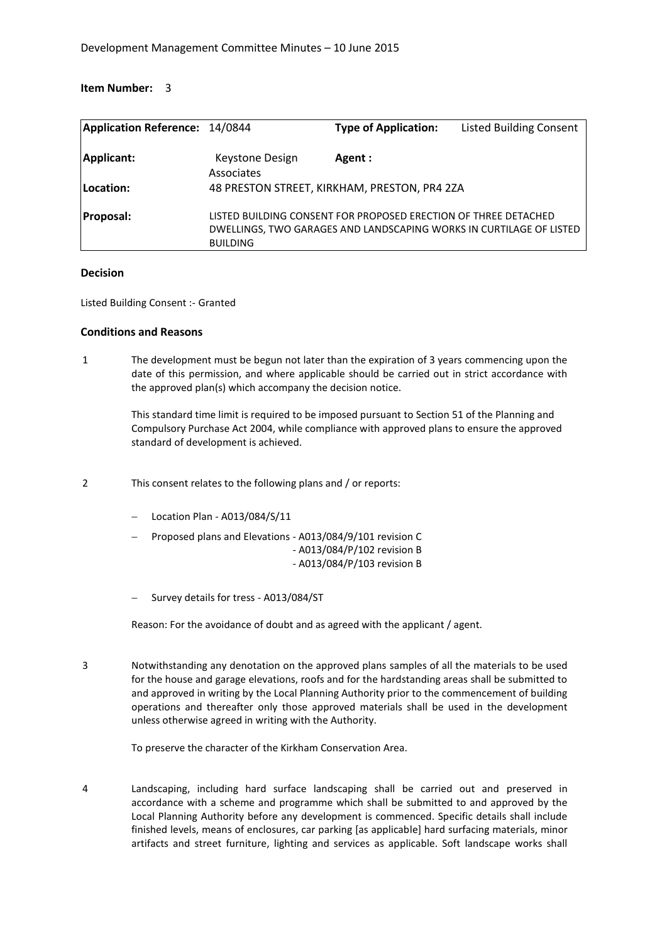| <b>Application Reference: 14/0844</b> |                               | <b>Type of Application:</b>                                     | <b>Listed Building Consent</b>                                      |
|---------------------------------------|-------------------------------|-----------------------------------------------------------------|---------------------------------------------------------------------|
| Applicant:                            | Keystone Design<br>Associates | Agent:                                                          |                                                                     |
| Location:                             |                               | 48 PRESTON STREET, KIRKHAM, PRESTON, PR4 2ZA                    |                                                                     |
| Proposal:                             | <b>BUILDING</b>               | LISTED BUILDING CONSENT FOR PROPOSED ERECTION OF THREE DETACHED | DWELLINGS, TWO GARAGES AND LANDSCAPING WORKS IN CURTILAGE OF LISTED |

#### **Decision**

Listed Building Consent :- Granted

#### **Conditions and Reasons**

1 The development must be begun not later than the expiration of 3 years commencing upon the date of this permission, and where applicable should be carried out in strict accordance with the approved plan(s) which accompany the decision notice.

> This standard time limit is required to be imposed pursuant to Section 51 of the Planning and Compulsory Purchase Act 2004, while compliance with approved plans to ensure the approved standard of development is achieved.

- 2 This consent relates to the following plans and / or reports:
	- Location Plan A013/084/S/11
	- Proposed plans and Elevations A013/084/9/101 revision C - A013/084/P/102 revision B - A013/084/P/103 revision B
	- Survey details for tress A013/084/ST

Reason: For the avoidance of doubt and as agreed with the applicant / agent.

3 Notwithstanding any denotation on the approved plans samples of all the materials to be used for the house and garage elevations, roofs and for the hardstanding areas shall be submitted to and approved in writing by the Local Planning Authority prior to the commencement of building operations and thereafter only those approved materials shall be used in the development unless otherwise agreed in writing with the Authority.

To preserve the character of the Kirkham Conservation Area.

4 Landscaping, including hard surface landscaping shall be carried out and preserved in accordance with a scheme and programme which shall be submitted to and approved by the Local Planning Authority before any development is commenced. Specific details shall include finished levels, means of enclosures, car parking [as applicable] hard surfacing materials, minor artifacts and street furniture, lighting and services as applicable. Soft landscape works shall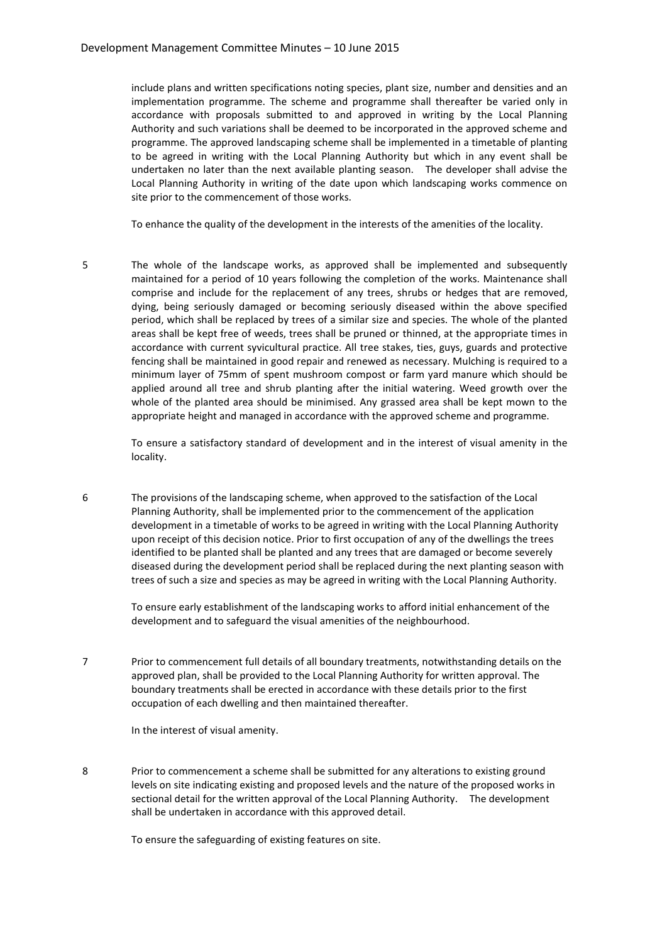include plans and written specifications noting species, plant size, number and densities and an implementation programme. The scheme and programme shall thereafter be varied only in accordance with proposals submitted to and approved in writing by the Local Planning Authority and such variations shall be deemed to be incorporated in the approved scheme and programme. The approved landscaping scheme shall be implemented in a timetable of planting to be agreed in writing with the Local Planning Authority but which in any event shall be undertaken no later than the next available planting season. The developer shall advise the Local Planning Authority in writing of the date upon which landscaping works commence on site prior to the commencement of those works.

To enhance the quality of the development in the interests of the amenities of the locality.

5 The whole of the landscape works, as approved shall be implemented and subsequently maintained for a period of 10 years following the completion of the works. Maintenance shall comprise and include for the replacement of any trees, shrubs or hedges that are removed, dying, being seriously damaged or becoming seriously diseased within the above specified period, which shall be replaced by trees of a similar size and species. The whole of the planted areas shall be kept free of weeds, trees shall be pruned or thinned, at the appropriate times in accordance with current syvicultural practice. All tree stakes, ties, guys, guards and protective fencing shall be maintained in good repair and renewed as necessary. Mulching is required to a minimum layer of 75mm of spent mushroom compost or farm yard manure which should be applied around all tree and shrub planting after the initial watering. Weed growth over the whole of the planted area should be minimised. Any grassed area shall be kept mown to the appropriate height and managed in accordance with the approved scheme and programme.

> To ensure a satisfactory standard of development and in the interest of visual amenity in the locality.

6 The provisions of the landscaping scheme, when approved to the satisfaction of the Local Planning Authority, shall be implemented prior to the commencement of the application development in a timetable of works to be agreed in writing with the Local Planning Authority upon receipt of this decision notice. Prior to first occupation of any of the dwellings the trees identified to be planted shall be planted and any trees that are damaged or become severely diseased during the development period shall be replaced during the next planting season with trees of such a size and species as may be agreed in writing with the Local Planning Authority.

> To ensure early establishment of the landscaping works to afford initial enhancement of the development and to safeguard the visual amenities of the neighbourhood.

7 Prior to commencement full details of all boundary treatments, notwithstanding details on the approved plan, shall be provided to the Local Planning Authority for written approval. The boundary treatments shall be erected in accordance with these details prior to the first occupation of each dwelling and then maintained thereafter.

In the interest of visual amenity.

8 Prior to commencement a scheme shall be submitted for any alterations to existing ground levels on site indicating existing and proposed levels and the nature of the proposed works in sectional detail for the written approval of the Local Planning Authority. The development shall be undertaken in accordance with this approved detail.

To ensure the safeguarding of existing features on site.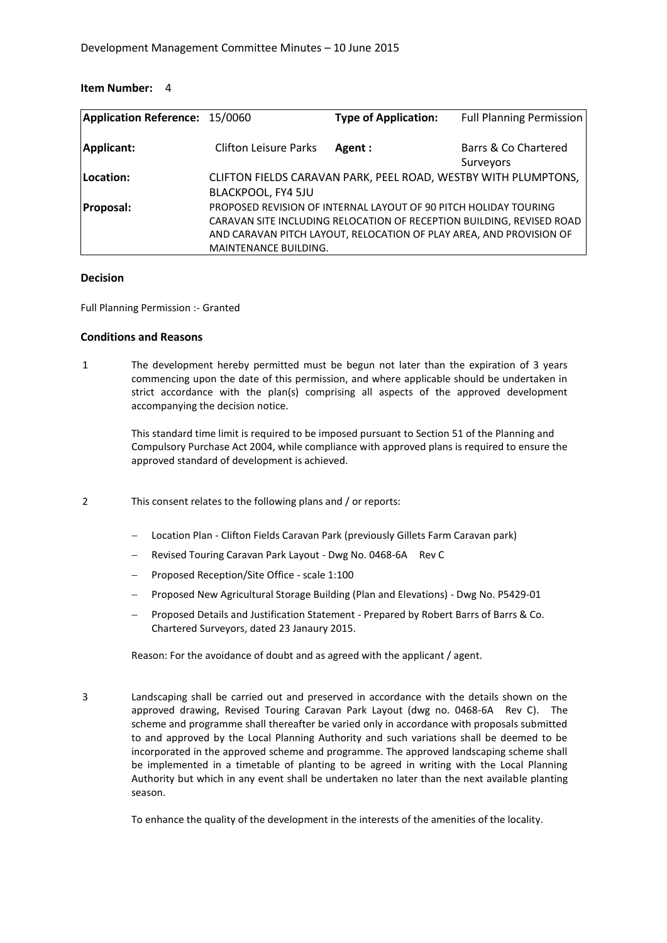| Application Reference: 15/0060 |                              | <b>Type of Application:</b>                                         | <b>Full Planning Permission</b>                                       |
|--------------------------------|------------------------------|---------------------------------------------------------------------|-----------------------------------------------------------------------|
| Applicant:                     | <b>Clifton Leisure Parks</b> | Agent:                                                              | Barrs & Co Chartered<br>Surveyors                                     |
| Location:                      |                              | CLIFTON FIELDS CARAVAN PARK, PEEL ROAD, WESTBY WITH PLUMPTONS,      |                                                                       |
|                                | <b>BLACKPOOL, FY4 5JU</b>    |                                                                     |                                                                       |
| <b>Proposal:</b>               |                              | PROPOSED REVISION OF INTERNAL LAYOUT OF 90 PITCH HOLIDAY TOURING    |                                                                       |
|                                |                              |                                                                     | CARAVAN SITE INCLUDING RELOCATION OF RECEPTION BUILDING, REVISED ROAD |
|                                |                              | AND CARAVAN PITCH LAYOUT, RELOCATION OF PLAY AREA, AND PROVISION OF |                                                                       |
|                                | <b>MAINTENANCE BUILDING.</b> |                                                                     |                                                                       |

#### **Decision**

Full Planning Permission :- Granted

#### **Conditions and Reasons**

1 The development hereby permitted must be begun not later than the expiration of 3 years commencing upon the date of this permission, and where applicable should be undertaken in strict accordance with the plan(s) comprising all aspects of the approved development accompanying the decision notice.

> This standard time limit is required to be imposed pursuant to Section 51 of the Planning and Compulsory Purchase Act 2004, while compliance with approved plans is required to ensure the approved standard of development is achieved.

- 2 This consent relates to the following plans and / or reports:
	- Location Plan Clifton Fields Caravan Park (previously Gillets Farm Caravan park)
	- Revised Touring Caravan Park Layout Dwg No. 0468-6A Rev C
	- Proposed Reception/Site Office scale 1:100
	- Proposed New Agricultural Storage Building (Plan and Elevations) Dwg No. P5429-01
	- Proposed Details and Justification Statement Prepared by Robert Barrs of Barrs & Co. Chartered Surveyors, dated 23 Janaury 2015.

Reason: For the avoidance of doubt and as agreed with the applicant / agent.

3 Landscaping shall be carried out and preserved in accordance with the details shown on the approved drawing, Revised Touring Caravan Park Layout (dwg no. 0468-6A Rev C). The scheme and programme shall thereafter be varied only in accordance with proposals submitted to and approved by the Local Planning Authority and such variations shall be deemed to be incorporated in the approved scheme and programme. The approved landscaping scheme shall be implemented in a timetable of planting to be agreed in writing with the Local Planning Authority but which in any event shall be undertaken no later than the next available planting season.

To enhance the quality of the development in the interests of the amenities of the locality.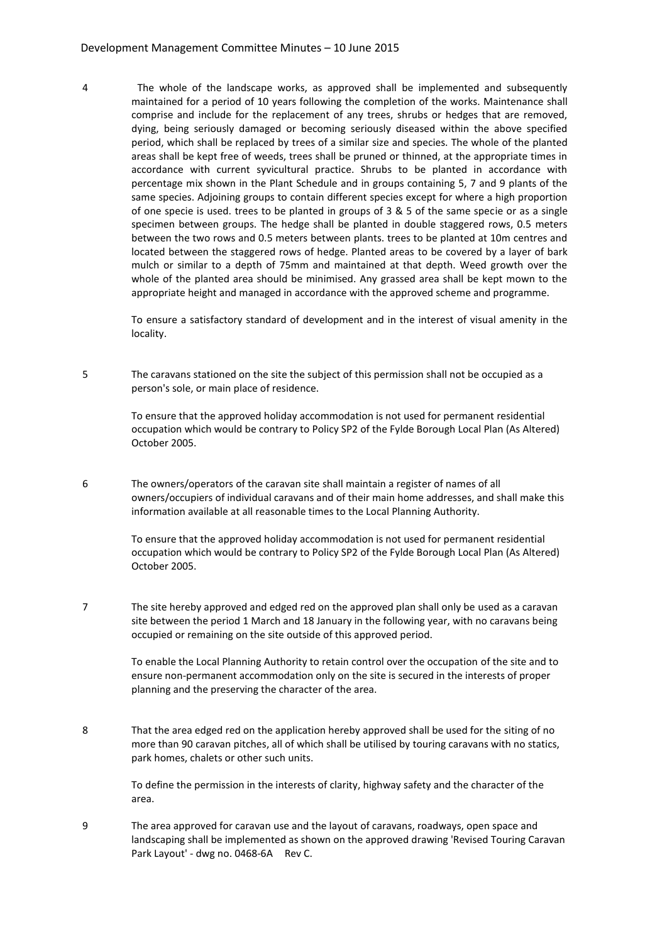4 The whole of the landscape works, as approved shall be implemented and subsequently maintained for a period of 10 years following the completion of the works. Maintenance shall comprise and include for the replacement of any trees, shrubs or hedges that are removed, dying, being seriously damaged or becoming seriously diseased within the above specified period, which shall be replaced by trees of a similar size and species. The whole of the planted areas shall be kept free of weeds, trees shall be pruned or thinned, at the appropriate times in accordance with current syvicultural practice. Shrubs to be planted in accordance with percentage mix shown in the Plant Schedule and in groups containing 5, 7 and 9 plants of the same species. Adjoining groups to contain different species except for where a high proportion of one specie is used. trees to be planted in groups of 3 & 5 of the same specie or as a single specimen between groups. The hedge shall be planted in double staggered rows, 0.5 meters between the two rows and 0.5 meters between plants. trees to be planted at 10m centres and located between the staggered rows of hedge. Planted areas to be covered by a layer of bark mulch or similar to a depth of 75mm and maintained at that depth. Weed growth over the whole of the planted area should be minimised. Any grassed area shall be kept mown to the appropriate height and managed in accordance with the approved scheme and programme.

To ensure a satisfactory standard of development and in the interest of visual amenity in the locality.

5 The caravans stationed on the site the subject of this permission shall not be occupied as a person's sole, or main place of residence.

> To ensure that the approved holiday accommodation is not used for permanent residential occupation which would be contrary to Policy SP2 of the Fylde Borough Local Plan (As Altered) October 2005.

6 The owners/operators of the caravan site shall maintain a register of names of all owners/occupiers of individual caravans and of their main home addresses, and shall make this information available at all reasonable times to the Local Planning Authority.

> To ensure that the approved holiday accommodation is not used for permanent residential occupation which would be contrary to Policy SP2 of the Fylde Borough Local Plan (As Altered) October 2005.

7 The site hereby approved and edged red on the approved plan shall only be used as a caravan site between the period 1 March and 18 January in the following year, with no caravans being occupied or remaining on the site outside of this approved period.

> To enable the Local Planning Authority to retain control over the occupation of the site and to ensure non-permanent accommodation only on the site is secured in the interests of proper planning and the preserving the character of the area.

8 That the area edged red on the application hereby approved shall be used for the siting of no more than 90 caravan pitches, all of which shall be utilised by touring caravans with no statics, park homes, chalets or other such units.

> To define the permission in the interests of clarity, highway safety and the character of the area.

9 The area approved for caravan use and the layout of caravans, roadways, open space and landscaping shall be implemented as shown on the approved drawing 'Revised Touring Caravan Park Layout' - dwg no. 0468-6A Rev C.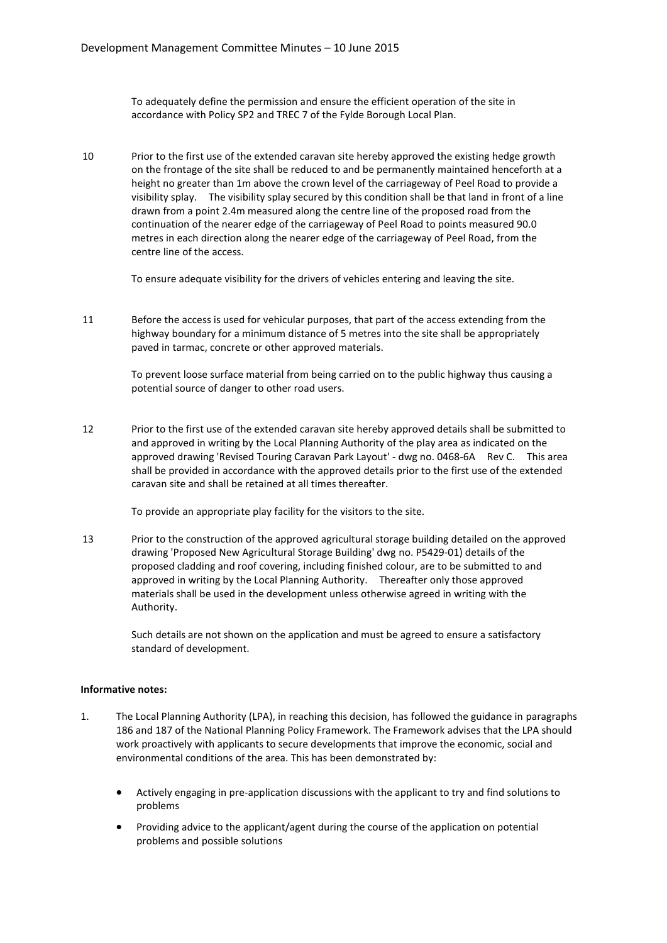To adequately define the permission and ensure the efficient operation of the site in accordance with Policy SP2 and TREC 7 of the Fylde Borough Local Plan.

10 Prior to the first use of the extended caravan site hereby approved the existing hedge growth on the frontage of the site shall be reduced to and be permanently maintained henceforth at a height no greater than 1m above the crown level of the carriageway of Peel Road to provide a visibility splay. The visibility splay secured by this condition shall be that land in front of a line drawn from a point 2.4m measured along the centre line of the proposed road from the continuation of the nearer edge of the carriageway of Peel Road to points measured 90.0 metres in each direction along the nearer edge of the carriageway of Peel Road, from the centre line of the access.

To ensure adequate visibility for the drivers of vehicles entering and leaving the site.

11 Before the access is used for vehicular purposes, that part of the access extending from the highway boundary for a minimum distance of 5 metres into the site shall be appropriately paved in tarmac, concrete or other approved materials.

> To prevent loose surface material from being carried on to the public highway thus causing a potential source of danger to other road users.

12 Prior to the first use of the extended caravan site hereby approved details shall be submitted to and approved in writing by the Local Planning Authority of the play area as indicated on the approved drawing 'Revised Touring Caravan Park Layout' - dwg no. 0468-6A Rev C. This area shall be provided in accordance with the approved details prior to the first use of the extended caravan site and shall be retained at all times thereafter.

To provide an appropriate play facility for the visitors to the site.

13 Prior to the construction of the approved agricultural storage building detailed on the approved drawing 'Proposed New Agricultural Storage Building' dwg no. P5429-01) details of the proposed cladding and roof covering, including finished colour, are to be submitted to and approved in writing by the Local Planning Authority. Thereafter only those approved materials shall be used in the development unless otherwise agreed in writing with the Authority.

Such details are not shown on the application and must be agreed to ensure a satisfactory standard of development.

#### **Informative notes:**

- 1. The Local Planning Authority (LPA), in reaching this decision, has followed the guidance in paragraphs 186 and 187 of the National Planning Policy Framework. The Framework advises that the LPA should work proactively with applicants to secure developments that improve the economic, social and environmental conditions of the area. This has been demonstrated by:
	- Actively engaging in pre-application discussions with the applicant to try and find solutions to problems
	- Providing advice to the applicant/agent during the course of the application on potential problems and possible solutions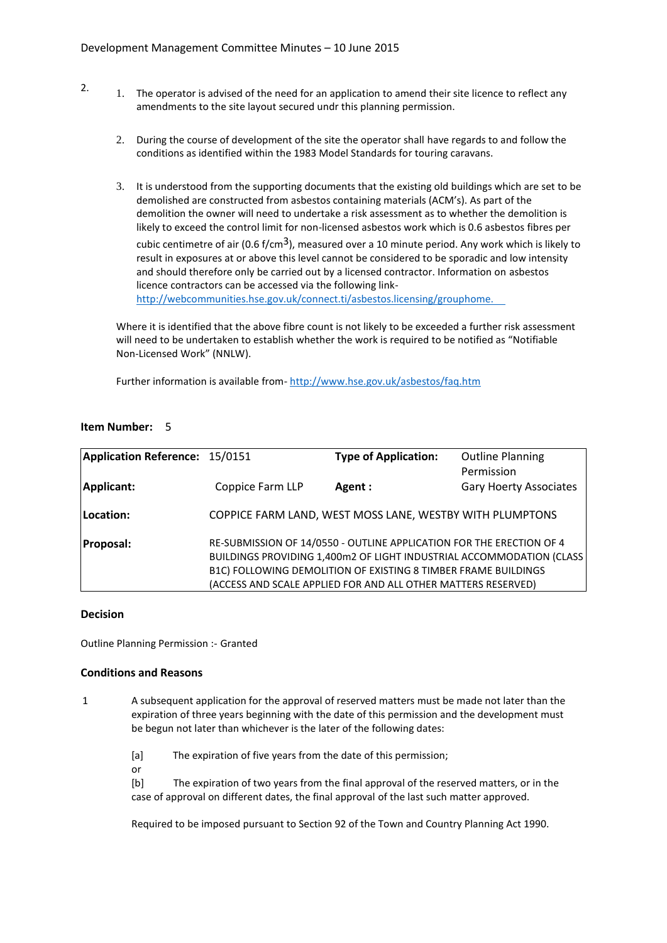- 2. 1. The operator is advised of the need for an application to amend their site licence to reflect any amendments to the site layout secured undr this planning permission.
	- 2. During the course of development of the site the operator shall have regards to and follow the conditions as identified within the 1983 Model Standards for touring caravans.
	- 3. It is understood from the supporting documents that the existing old buildings which are set to be demolished are constructed from asbestos containing materials (ACM's). As part of the demolition the owner will need to undertake a risk assessment as to whether the demolition is likely to exceed the control limit for non-licensed asbestos work which is 0.6 asbestos fibres per cubic centimetre of air  $(0.6 f/cm<sup>3</sup>)$ , measured over a 10 minute period. Any work which is likely to result in exposures at or above this level cannot be considered to be sporadic and low intensity

and should therefore only be carried out by a licensed contractor. Information on asbestos licence contractors can be accessed via the following link-

http://webcommunities.hse.gov.uk/connect.ti/asbestos.licensing/grouphome.

Where it is identified that the above fibre count is not likely to be exceeded a further risk assessment will need to be undertaken to establish whether the work is required to be notified as "Notifiable Non-Licensed Work" (NNLW).

Further information is available from- http://www.hse.gov.uk/asbestos/faq.htm

# **Item Number:** 5

| Application Reference: 15/0151 |                  | <b>Type of Application:</b>                                          | <b>Outline Planning</b>                                              |
|--------------------------------|------------------|----------------------------------------------------------------------|----------------------------------------------------------------------|
|                                |                  |                                                                      | Permission                                                           |
| Applicant:                     | Coppice Farm LLP | Agent :                                                              | <b>Gary Hoerty Associates</b>                                        |
|                                |                  |                                                                      |                                                                      |
| Location:                      |                  | COPPICE FARM LAND, WEST MOSS LANE, WESTBY WITH PLUMPTONS             |                                                                      |
| <b>Proposal:</b>               |                  | RE-SUBMISSION OF 14/0550 - OUTLINE APPLICATION FOR THE ERECTION OF 4 |                                                                      |
|                                |                  |                                                                      | BUILDINGS PROVIDING 1,400m2 OF LIGHT INDUSTRIAL ACCOMMODATION (CLASS |
|                                |                  | B1C) FOLLOWING DEMOLITION OF EXISTING 8 TIMBER FRAME BUILDINGS       |                                                                      |
|                                |                  | (ACCESS AND SCALE APPLIED FOR AND ALL OTHER MATTERS RESERVED)        |                                                                      |

#### **Decision**

Outline Planning Permission :- Granted

#### **Conditions and Reasons**

1 A subsequent application for the approval of reserved matters must be made not later than the expiration of three years beginning with the date of this permission and the development must be begun not later than whichever is the later of the following dates:

[a] The expiration of five years from the date of this permission;

or

[b] The expiration of two years from the final approval of the reserved matters, or in the case of approval on different dates, the final approval of the last such matter approved.

Required to be imposed pursuant to Section 92 of the Town and Country Planning Act 1990.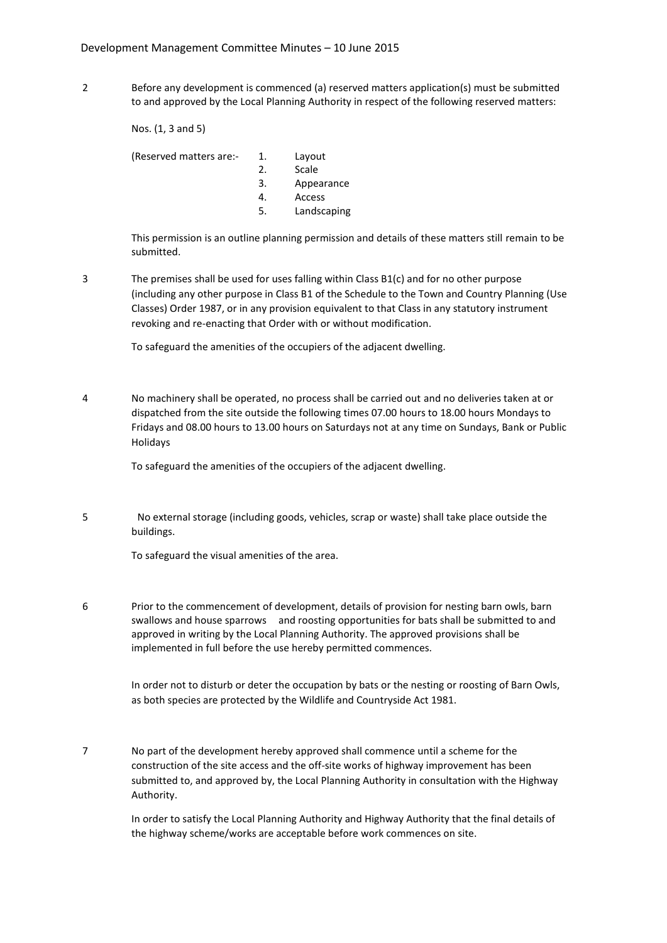2 Before any development is commenced (a) reserved matters application(s) must be submitted to and approved by the Local Planning Authority in respect of the following reserved matters:

Nos. (1, 3 and 5)

(Reserved matters are:- 1. Layout

- 2. Scale
- 3. Appearance
- 4. Access
- 
- 5. Landscaping

This permission is an outline planning permission and details of these matters still remain to be submitted.

3 The premises shall be used for uses falling within Class B1(c) and for no other purpose (including any other purpose in Class B1 of the Schedule to the Town and Country Planning (Use Classes) Order 1987, or in any provision equivalent to that Class in any statutory instrument revoking and re-enacting that Order with or without modification.

To safeguard the amenities of the occupiers of the adjacent dwelling.

4 No machinery shall be operated, no process shall be carried out and no deliveries taken at or dispatched from the site outside the following times 07.00 hours to 18.00 hours Mondays to Fridays and 08.00 hours to 13.00 hours on Saturdays not at any time on Sundays, Bank or Public Holidays

To safeguard the amenities of the occupiers of the adjacent dwelling.

5 No external storage (including goods, vehicles, scrap or waste) shall take place outside the buildings.

To safeguard the visual amenities of the area.

6 Prior to the commencement of development, details of provision for nesting barn owls, barn swallows and house sparrows and roosting opportunities for bats shall be submitted to and approved in writing by the Local Planning Authority. The approved provisions shall be implemented in full before the use hereby permitted commences.

> In order not to disturb or deter the occupation by bats or the nesting or roosting of Barn Owls, as both species are protected by the Wildlife and Countryside Act 1981.

7 No part of the development hereby approved shall commence until a scheme for the construction of the site access and the off-site works of highway improvement has been submitted to, and approved by, the Local Planning Authority in consultation with the Highway Authority.

> In order to satisfy the Local Planning Authority and Highway Authority that the final details of the highway scheme/works are acceptable before work commences on site.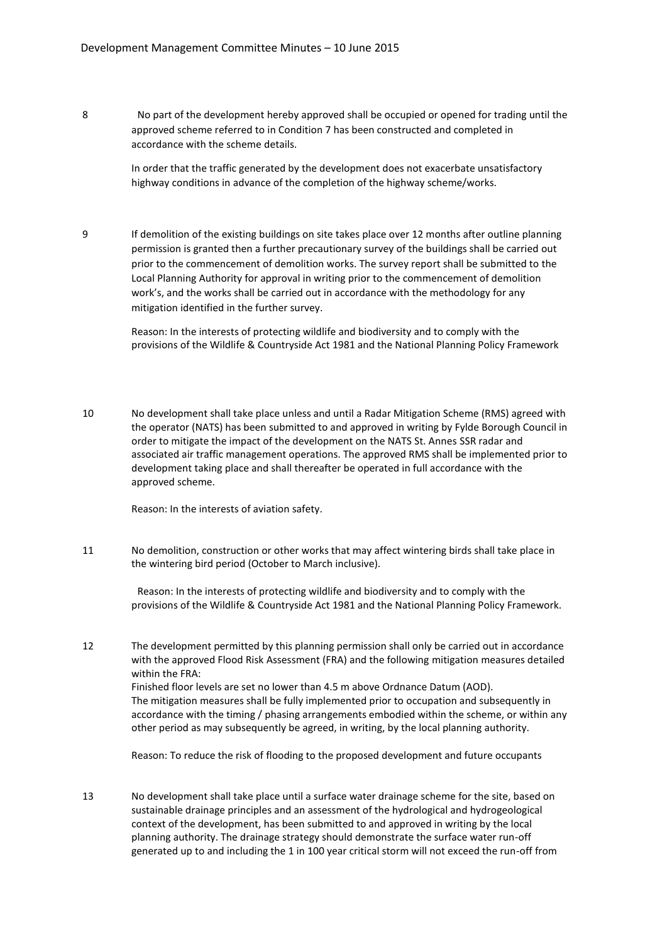8 No part of the development hereby approved shall be occupied or opened for trading until the approved scheme referred to in Condition 7 has been constructed and completed in accordance with the scheme details.

> In order that the traffic generated by the development does not exacerbate unsatisfactory highway conditions in advance of the completion of the highway scheme/works.

9 If demolition of the existing buildings on site takes place over 12 months after outline planning permission is granted then a further precautionary survey of the buildings shall be carried out prior to the commencement of demolition works. The survey report shall be submitted to the Local Planning Authority for approval in writing prior to the commencement of demolition work's, and the works shall be carried out in accordance with the methodology for any mitigation identified in the further survey.

> Reason: In the interests of protecting wildlife and biodiversity and to comply with the provisions of the Wildlife & Countryside Act 1981 and the National Planning Policy Framework

10 No development shall take place unless and until a Radar Mitigation Scheme (RMS) agreed with the operator (NATS) has been submitted to and approved in writing by Fylde Borough Council in order to mitigate the impact of the development on the NATS St. Annes SSR radar and associated air traffic management operations. The approved RMS shall be implemented prior to development taking place and shall thereafter be operated in full accordance with the approved scheme.

Reason: In the interests of aviation safety.

11 No demolition, construction or other works that may affect wintering birds shall take place in the wintering bird period (October to March inclusive).

> Reason: In the interests of protecting wildlife and biodiversity and to comply with the provisions of the Wildlife & Countryside Act 1981 and the National Planning Policy Framework.

12 The development permitted by this planning permission shall only be carried out in accordance with the approved Flood Risk Assessment (FRA) and the following mitigation measures detailed within the FRA:

> Finished floor levels are set no lower than 4.5 m above Ordnance Datum (AOD). The mitigation measures shall be fully implemented prior to occupation and subsequently in accordance with the timing / phasing arrangements embodied within the scheme, or within any other period as may subsequently be agreed, in writing, by the local planning authority.

Reason: To reduce the risk of flooding to the proposed development and future occupants

13 No development shall take place until a surface water drainage scheme for the site, based on sustainable drainage principles and an assessment of the hydrological and hydrogeological context of the development, has been submitted to and approved in writing by the local planning authority. The drainage strategy should demonstrate the surface water run-off generated up to and including the 1 in 100 year critical storm will not exceed the run-off from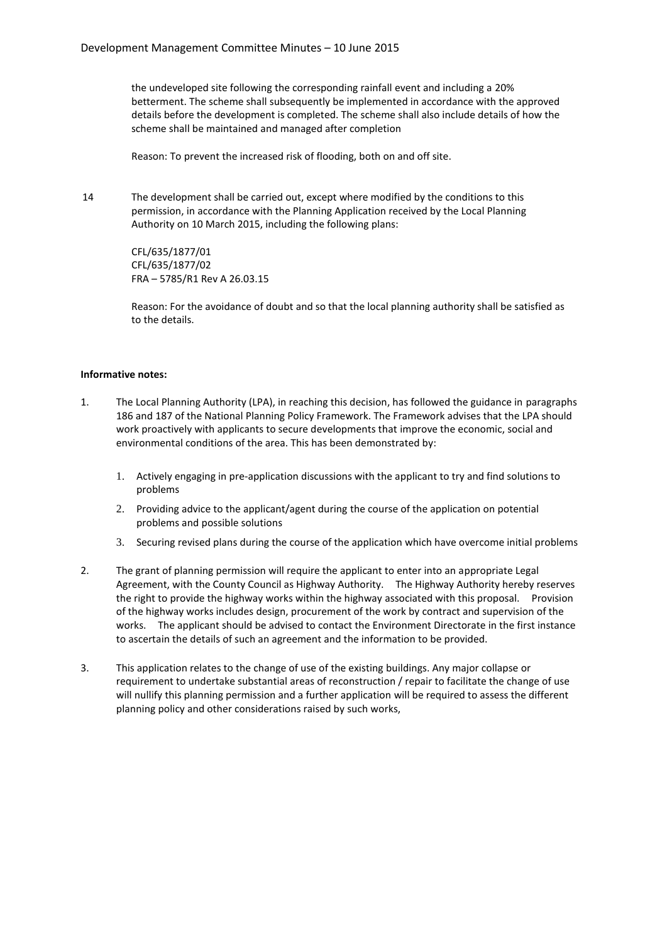the undeveloped site following the corresponding rainfall event and including a 20% betterment. The scheme shall subsequently be implemented in accordance with the approved details before the development is completed. The scheme shall also include details of how the scheme shall be maintained and managed after completion

Reason: To prevent the increased risk of flooding, both on and off site.

14 The development shall be carried out, except where modified by the conditions to this permission, in accordance with the Planning Application received by the Local Planning Authority on 10 March 2015, including the following plans:

> CFL/635/1877/01 CFL/635/1877/02 FRA – 5785/R1 Rev A 26.03.15

Reason: For the avoidance of doubt and so that the local planning authority shall be satisfied as to the details.

#### **Informative notes:**

- 1. The Local Planning Authority (LPA), in reaching this decision, has followed the guidance in paragraphs 186 and 187 of the National Planning Policy Framework. The Framework advises that the LPA should work proactively with applicants to secure developments that improve the economic, social and environmental conditions of the area. This has been demonstrated by:
	- 1. Actively engaging in pre-application discussions with the applicant to try and find solutions to problems
	- 2. Providing advice to the applicant/agent during the course of the application on potential problems and possible solutions
	- 3. Securing revised plans during the course of the application which have overcome initial problems
- 2. The grant of planning permission will require the applicant to enter into an appropriate Legal Agreement, with the County Council as Highway Authority. The Highway Authority hereby reserves the right to provide the highway works within the highway associated with this proposal. Provision of the highway works includes design, procurement of the work by contract and supervision of the works. The applicant should be advised to contact the Environment Directorate in the first instance to ascertain the details of such an agreement and the information to be provided.
- 3. This application relates to the change of use of the existing buildings. Any major collapse or requirement to undertake substantial areas of reconstruction / repair to facilitate the change of use will nullify this planning permission and a further application will be required to assess the different planning policy and other considerations raised by such works,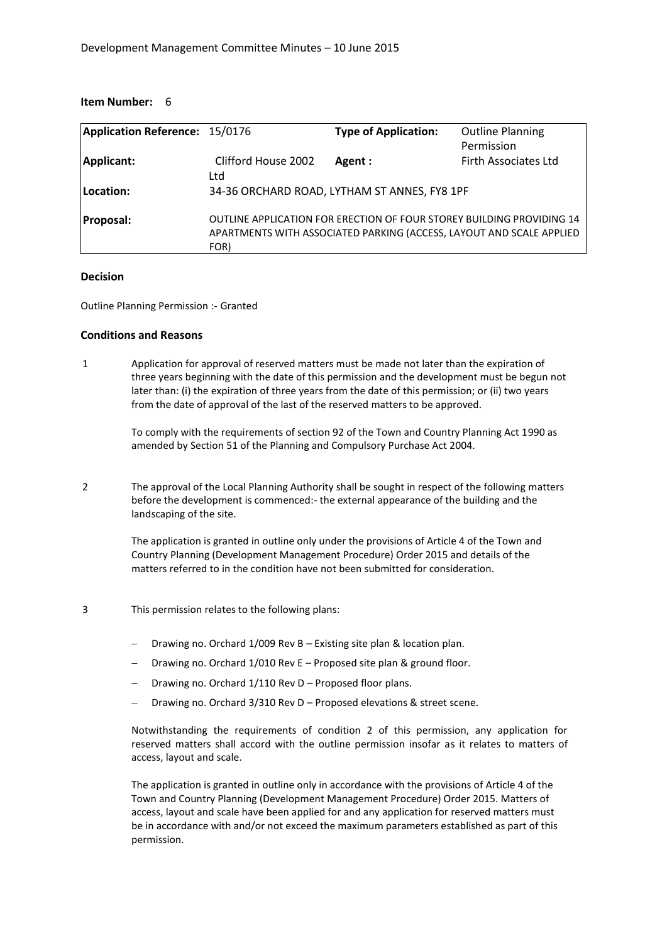| Application Reference: 15/0176 |                            | <b>Type of Application:</b>                                                                                                                   | <b>Outline Planning</b><br>Permission |
|--------------------------------|----------------------------|-----------------------------------------------------------------------------------------------------------------------------------------------|---------------------------------------|
| Applicant:                     | Clifford House 2002<br>Ltd | Agent :                                                                                                                                       | Firth Associates Ltd                  |
| Location:                      |                            | 34-36 ORCHARD ROAD, LYTHAM ST ANNES, FY8 1PF                                                                                                  |                                       |
| <b>Proposal:</b>               | FOR)                       | OUTLINE APPLICATION FOR ERECTION OF FOUR STOREY BUILDING PROVIDING 14<br>APARTMENTS WITH ASSOCIATED PARKING (ACCESS, LAYOUT AND SCALE APPLIED |                                       |

#### **Decision**

Outline Planning Permission :- Granted

#### **Conditions and Reasons**

1 Application for approval of reserved matters must be made not later than the expiration of three years beginning with the date of this permission and the development must be begun not later than: (i) the expiration of three years from the date of this permission; or (ii) two years from the date of approval of the last of the reserved matters to be approved.

> To comply with the requirements of section 92 of the Town and Country Planning Act 1990 as amended by Section 51 of the Planning and Compulsory Purchase Act 2004.

2 The approval of the Local Planning Authority shall be sought in respect of the following matters before the development is commenced:- the external appearance of the building and the landscaping of the site.

> The application is granted in outline only under the provisions of Article 4 of the Town and Country Planning (Development Management Procedure) Order 2015 and details of the matters referred to in the condition have not been submitted for consideration.

- 3 This permission relates to the following plans:
	- Drawing no. Orchard 1/009 Rev B Existing site plan & location plan.
	- Drawing no. Orchard 1/010 Rev E Proposed site plan & ground floor.
	- Drawing no. Orchard 1/110 Rev D Proposed floor plans.
	- Drawing no. Orchard 3/310 Rev D Proposed elevations & street scene.

Notwithstanding the requirements of condition 2 of this permission, any application for reserved matters shall accord with the outline permission insofar as it relates to matters of access, layout and scale.

The application is granted in outline only in accordance with the provisions of Article 4 of the Town and Country Planning (Development Management Procedure) Order 2015. Matters of access, layout and scale have been applied for and any application for reserved matters must be in accordance with and/or not exceed the maximum parameters established as part of this permission.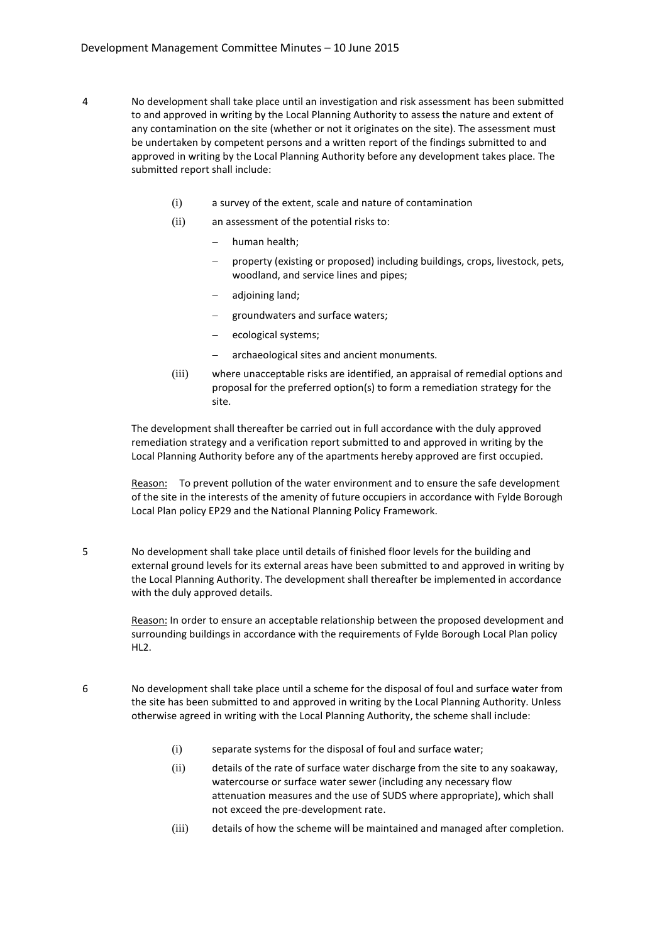- 4 No development shall take place until an investigation and risk assessment has been submitted to and approved in writing by the Local Planning Authority to assess the nature and extent of any contamination on the site (whether or not it originates on the site). The assessment must be undertaken by competent persons and a written report of the findings submitted to and approved in writing by the Local Planning Authority before any development takes place. The submitted report shall include:
	- (i) a survey of the extent, scale and nature of contamination
	- (ii) an assessment of the potential risks to:
		- human health;
		- property (existing or proposed) including buildings, crops, livestock, pets, woodland, and service lines and pipes;
		- adjoining land;
		- groundwaters and surface waters;
		- ecological systems;
		- archaeological sites and ancient monuments.
	- (iii) where unacceptable risks are identified, an appraisal of remedial options and proposal for the preferred option(s) to form a remediation strategy for the site.

The development shall thereafter be carried out in full accordance with the duly approved remediation strategy and a verification report submitted to and approved in writing by the Local Planning Authority before any of the apartments hereby approved are first occupied.

Reason: To prevent pollution of the water environment and to ensure the safe development of the site in the interests of the amenity of future occupiers in accordance with Fylde Borough Local Plan policy EP29 and the National Planning Policy Framework.

5 No development shall take place until details of finished floor levels for the building and external ground levels for its external areas have been submitted to and approved in writing by the Local Planning Authority. The development shall thereafter be implemented in accordance with the duly approved details.

> Reason: In order to ensure an acceptable relationship between the proposed development and surrounding buildings in accordance with the requirements of Fylde Borough Local Plan policy HL2.

- 6 No development shall take place until a scheme for the disposal of foul and surface water from the site has been submitted to and approved in writing by the Local Planning Authority. Unless otherwise agreed in writing with the Local Planning Authority, the scheme shall include:
	- (i) separate systems for the disposal of foul and surface water;
	- (ii) details of the rate of surface water discharge from the site to any soakaway, watercourse or surface water sewer (including any necessary flow attenuation measures and the use of SUDS where appropriate), which shall not exceed the pre-development rate.
	- (iii) details of how the scheme will be maintained and managed after completion.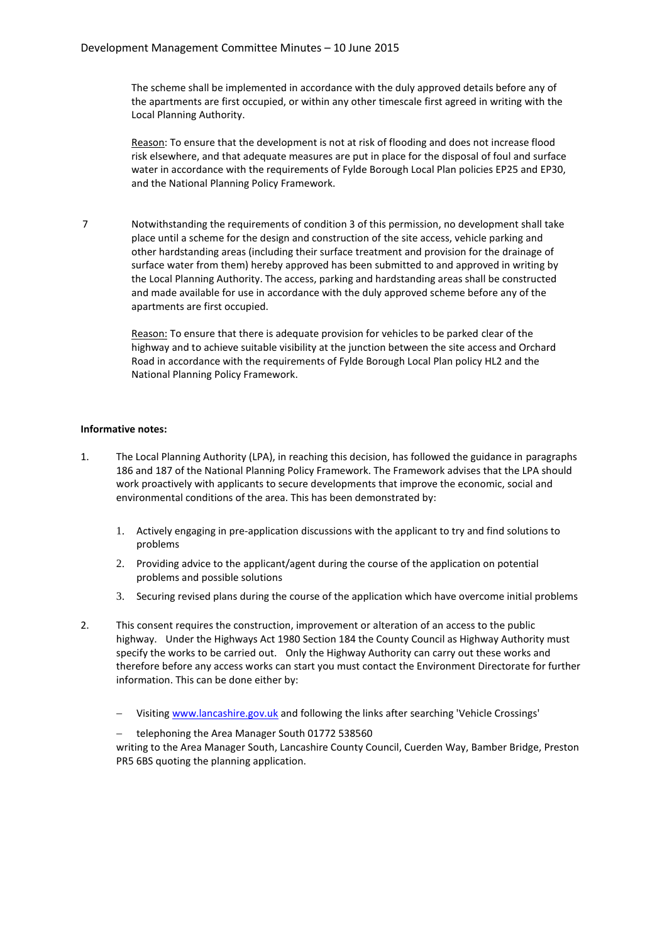The scheme shall be implemented in accordance with the duly approved details before any of the apartments are first occupied, or within any other timescale first agreed in writing with the Local Planning Authority.

Reason: To ensure that the development is not at risk of flooding and does not increase flood risk elsewhere, and that adequate measures are put in place for the disposal of foul and surface water in accordance with the requirements of Fylde Borough Local Plan policies EP25 and EP30, and the National Planning Policy Framework.

7 Notwithstanding the requirements of condition 3 of this permission, no development shall take place until a scheme for the design and construction of the site access, vehicle parking and other hardstanding areas (including their surface treatment and provision for the drainage of surface water from them) hereby approved has been submitted to and approved in writing by the Local Planning Authority. The access, parking and hardstanding areas shall be constructed and made available for use in accordance with the duly approved scheme before any of the apartments are first occupied.

> Reason: To ensure that there is adequate provision for vehicles to be parked clear of the highway and to achieve suitable visibility at the junction between the site access and Orchard Road in accordance with the requirements of Fylde Borough Local Plan policy HL2 and the National Planning Policy Framework.

#### **Informative notes:**

- 1. The Local Planning Authority (LPA), in reaching this decision, has followed the guidance in paragraphs 186 and 187 of the National Planning Policy Framework. The Framework advises that the LPA should work proactively with applicants to secure developments that improve the economic, social and environmental conditions of the area. This has been demonstrated by:
	- 1. Actively engaging in pre-application discussions with the applicant to try and find solutions to problems
	- 2. Providing advice to the applicant/agent during the course of the application on potential problems and possible solutions
	- 3. Securing revised plans during the course of the application which have overcome initial problems
- 2. This consent requires the construction, improvement or alteration of an access to the public highway. Under the Highways Act 1980 Section 184 the County Council as Highway Authority must specify the works to be carried out. Only the Highway Authority can carry out these works and therefore before any access works can start you must contact the Environment Directorate for further information. This can be done either by:
	- Visiting www.lancashire.gov.uk and following the links after searching 'Vehicle Crossings'
	- telephoning the Area Manager South 01772 538560

writing to the Area Manager South, Lancashire County Council, Cuerden Way, Bamber Bridge, Preston PR5 6BS quoting the planning application.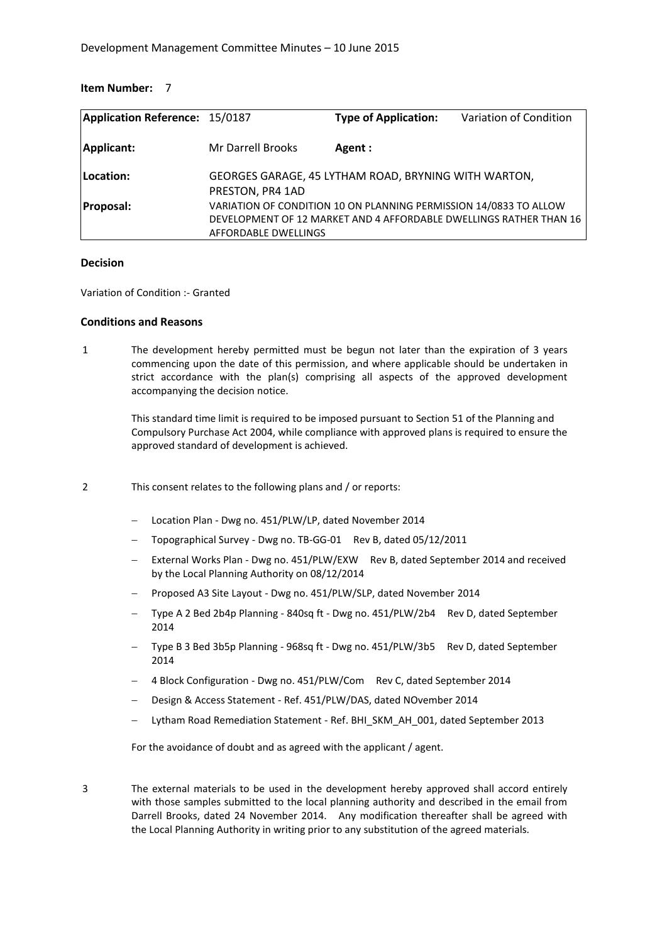| Application Reference: 15/0187 |                          | <b>Type of Application:</b>                                       | Variation of Condition                                             |
|--------------------------------|--------------------------|-------------------------------------------------------------------|--------------------------------------------------------------------|
| Applicant:                     | <b>Mr Darrell Brooks</b> | Agent :                                                           |                                                                    |
| Location:                      | PRESTON, PR4 1AD         | GEORGES GARAGE, 45 LYTHAM ROAD, BRYNING WITH WARTON,              |                                                                    |
| <b>Proposal:</b>               | AFFORDABLE DWELLINGS     | VARIATION OF CONDITION 10 ON PLANNING PERMISSION 14/0833 TO ALLOW | DEVELOPMENT OF 12 MARKET AND 4 AFFORDABLE DWELLINGS RATHER THAN 16 |

#### **Decision**

Variation of Condition :- Granted

#### **Conditions and Reasons**

1 The development hereby permitted must be begun not later than the expiration of 3 years commencing upon the date of this permission, and where applicable should be undertaken in strict accordance with the plan(s) comprising all aspects of the approved development accompanying the decision notice.

> This standard time limit is required to be imposed pursuant to Section 51 of the Planning and Compulsory Purchase Act 2004, while compliance with approved plans is required to ensure the approved standard of development is achieved.

- 2 This consent relates to the following plans and / or reports:
	- Location Plan Dwg no. 451/PLW/LP, dated November 2014
	- Topographical Survey Dwg no. TB-GG-01 Rev B, dated 05/12/2011
	- External Works Plan Dwg no. 451/PLW/EXW Rev B, dated September 2014 and received by the Local Planning Authority on 08/12/2014
	- Proposed A3 Site Layout Dwg no. 451/PLW/SLP, dated November 2014
	- Type A 2 Bed 2b4p Planning 840sq ft Dwg no. 451/PLW/2b4 Rev D, dated September 2014
	- Type B 3 Bed 3b5p Planning 968sq ft Dwg no. 451/PLW/3b5 Rev D, dated September 2014
	- 4 Block Configuration Dwg no. 451/PLW/Com Rev C, dated September 2014
	- Design & Access Statement Ref. 451/PLW/DAS, dated NOvember 2014
	- Lytham Road Remediation Statement Ref. BHI\_SKM\_AH\_001, dated September 2013

For the avoidance of doubt and as agreed with the applicant / agent.

3 The external materials to be used in the development hereby approved shall accord entirely with those samples submitted to the local planning authority and described in the email from Darrell Brooks, dated 24 November 2014. Any modification thereafter shall be agreed with the Local Planning Authority in writing prior to any substitution of the agreed materials.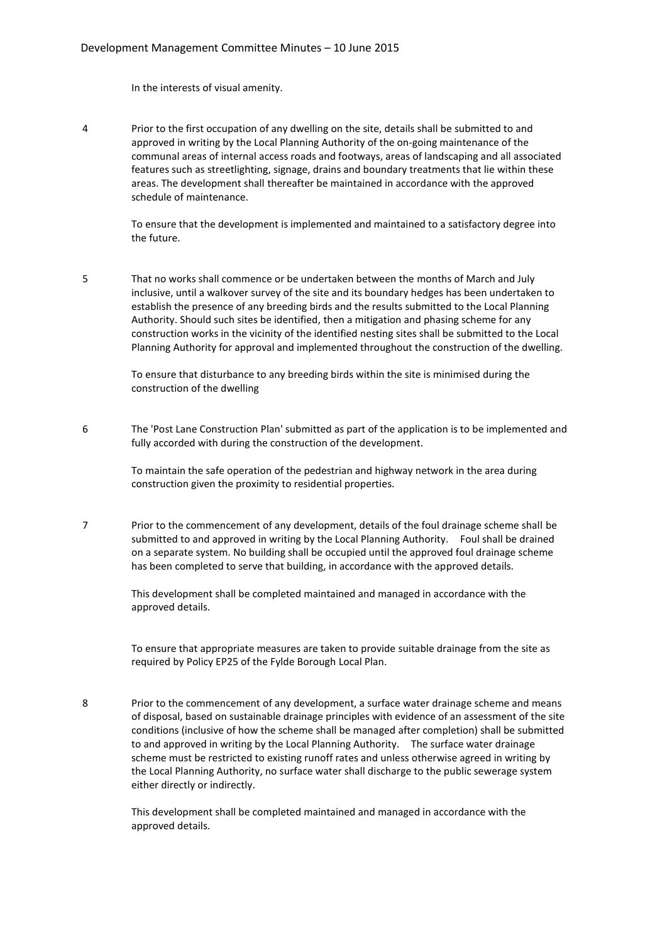In the interests of visual amenity.

4 Prior to the first occupation of any dwelling on the site, details shall be submitted to and approved in writing by the Local Planning Authority of the on-going maintenance of the communal areas of internal access roads and footways, areas of landscaping and all associated features such as streetlighting, signage, drains and boundary treatments that lie within these areas. The development shall thereafter be maintained in accordance with the approved schedule of maintenance.

> To ensure that the development is implemented and maintained to a satisfactory degree into the future.

5 That no works shall commence or be undertaken between the months of March and July inclusive, until a walkover survey of the site and its boundary hedges has been undertaken to establish the presence of any breeding birds and the results submitted to the Local Planning Authority. Should such sites be identified, then a mitigation and phasing scheme for any construction works in the vicinity of the identified nesting sites shall be submitted to the Local Planning Authority for approval and implemented throughout the construction of the dwelling.

> To ensure that disturbance to any breeding birds within the site is minimised during the construction of the dwelling

6 The 'Post Lane Construction Plan' submitted as part of the application is to be implemented and fully accorded with during the construction of the development.

> To maintain the safe operation of the pedestrian and highway network in the area during construction given the proximity to residential properties.

7 Prior to the commencement of any development, details of the foul drainage scheme shall be submitted to and approved in writing by the Local Planning Authority. Foul shall be drained on a separate system. No building shall be occupied until the approved foul drainage scheme has been completed to serve that building, in accordance with the approved details.

> This development shall be completed maintained and managed in accordance with the approved details.

To ensure that appropriate measures are taken to provide suitable drainage from the site as required by Policy EP25 of the Fylde Borough Local Plan.

8 Prior to the commencement of any development, a surface water drainage scheme and means of disposal, based on sustainable drainage principles with evidence of an assessment of the site conditions (inclusive of how the scheme shall be managed after completion) shall be submitted to and approved in writing by the Local Planning Authority. The surface water drainage scheme must be restricted to existing runoff rates and unless otherwise agreed in writing by the Local Planning Authority, no surface water shall discharge to the public sewerage system either directly or indirectly.

> This development shall be completed maintained and managed in accordance with the approved details.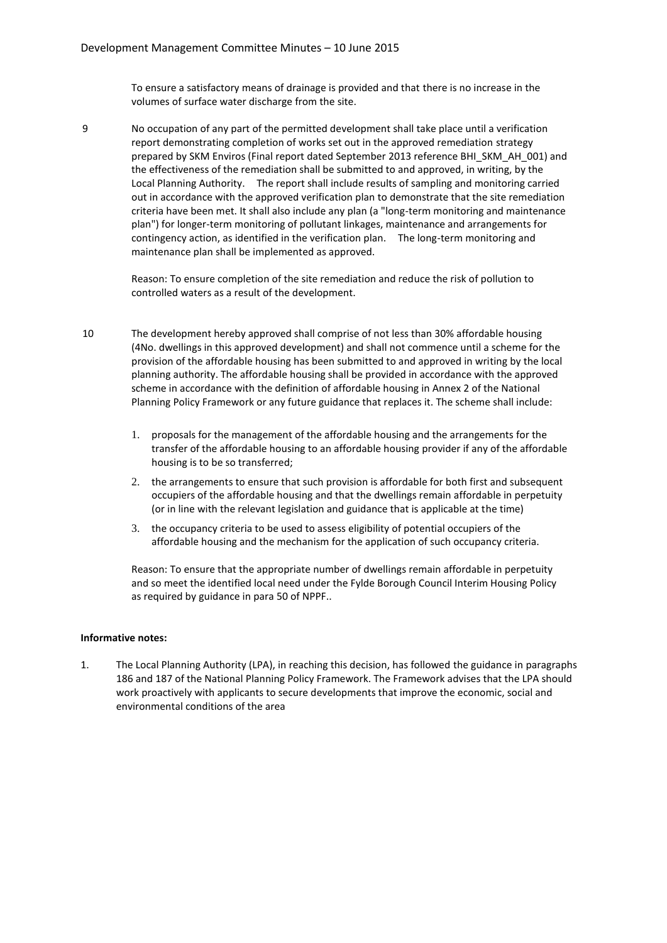To ensure a satisfactory means of drainage is provided and that there is no increase in the volumes of surface water discharge from the site.

9 No occupation of any part of the permitted development shall take place until a verification report demonstrating completion of works set out in the approved remediation strategy prepared by SKM Enviros (Final report dated September 2013 reference BHI\_SKM\_AH\_001) and the effectiveness of the remediation shall be submitted to and approved, in writing, by the Local Planning Authority. The report shall include results of sampling and monitoring carried out in accordance with the approved verification plan to demonstrate that the site remediation criteria have been met. It shall also include any plan (a "long-term monitoring and maintenance plan") for longer-term monitoring of pollutant linkages, maintenance and arrangements for contingency action, as identified in the verification plan. The long-term monitoring and maintenance plan shall be implemented as approved.

> Reason: To ensure completion of the site remediation and reduce the risk of pollution to controlled waters as a result of the development.

- 10 The development hereby approved shall comprise of not less than 30% affordable housing (4No. dwellings in this approved development) and shall not commence until a scheme for the provision of the affordable housing has been submitted to and approved in writing by the local planning authority. The affordable housing shall be provided in accordance with the approved scheme in accordance with the definition of affordable housing in Annex 2 of the National Planning Policy Framework or any future guidance that replaces it. The scheme shall include:
	- 1. proposals for the management of the affordable housing and the arrangements for the transfer of the affordable housing to an affordable housing provider if any of the affordable housing is to be so transferred;
	- 2. the arrangements to ensure that such provision is affordable for both first and subsequent occupiers of the affordable housing and that the dwellings remain affordable in perpetuity (or in line with the relevant legislation and guidance that is applicable at the time)
	- 3. the occupancy criteria to be used to assess eligibility of potential occupiers of the affordable housing and the mechanism for the application of such occupancy criteria.

Reason: To ensure that the appropriate number of dwellings remain affordable in perpetuity and so meet the identified local need under the Fylde Borough Council Interim Housing Policy as required by guidance in para 50 of NPPF..

#### **Informative notes:**

1. The Local Planning Authority (LPA), in reaching this decision, has followed the guidance in paragraphs 186 and 187 of the National Planning Policy Framework. The Framework advises that the LPA should work proactively with applicants to secure developments that improve the economic, social and environmental conditions of the area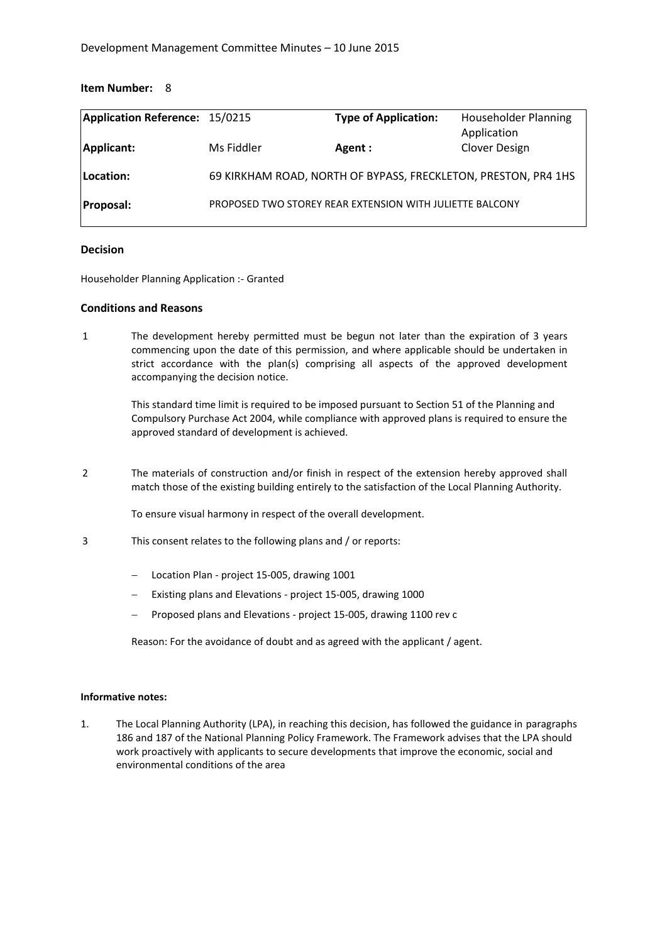| Application Reference: 15/0215 |            | <b>Type of Application:</b>                                    | <b>Householder Planning</b><br>Application |
|--------------------------------|------------|----------------------------------------------------------------|--------------------------------------------|
| Applicant:                     | Ms Fiddler | Agent :                                                        | Clover Design                              |
| Location:                      |            | 69 KIRKHAM ROAD, NORTH OF BYPASS, FRECKLETON, PRESTON, PR4 1HS |                                            |
| <b>Proposal:</b>               |            | PROPOSED TWO STOREY REAR EXTENSION WITH JULIETTE BALCONY       |                                            |

#### **Decision**

Householder Planning Application :- Granted

#### **Conditions and Reasons**

1 The development hereby permitted must be begun not later than the expiration of 3 years commencing upon the date of this permission, and where applicable should be undertaken in strict accordance with the plan(s) comprising all aspects of the approved development accompanying the decision notice.

> This standard time limit is required to be imposed pursuant to Section 51 of the Planning and Compulsory Purchase Act 2004, while compliance with approved plans is required to ensure the approved standard of development is achieved.

2 The materials of construction and/or finish in respect of the extension hereby approved shall match those of the existing building entirely to the satisfaction of the Local Planning Authority.

To ensure visual harmony in respect of the overall development.

- 3 This consent relates to the following plans and / or reports:
	- Location Plan project 15-005, drawing 1001
	- Existing plans and Elevations project 15-005, drawing 1000
	- Proposed plans and Elevations project 15-005, drawing 1100 rev c

Reason: For the avoidance of doubt and as agreed with the applicant / agent.

#### **Informative notes:**

1. The Local Planning Authority (LPA), in reaching this decision, has followed the guidance in paragraphs 186 and 187 of the National Planning Policy Framework. The Framework advises that the LPA should work proactively with applicants to secure developments that improve the economic, social and environmental conditions of the area